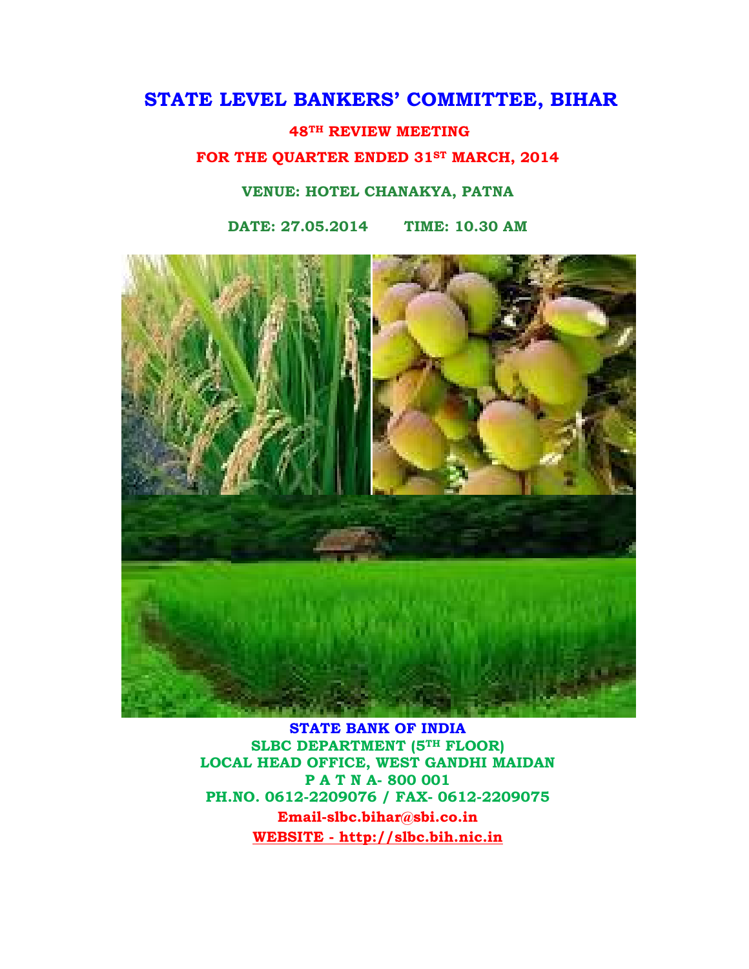# STATE LEVEL BANKERS' COMMITTEE, BIHAR

48TH REVIEW MEETING

FOR THE QUARTER ENDED 31ST MARCH, 2014

#### VENUE: HOTEL CHANAKYA, PATNA

DATE: 27.05.2014 TIME: 10.30 AM



STATE BANK OF INDIA SLBC DEPARTMENT (5TH FLOOR) LOCAL HEAD OFFICE, WEST GANDHI MAIDAN P A T N A- 800 001 PH.NO. 0612-2209076 / FAX- 0612-2209075 Email-slbc.bihar@sbi.co.in WEBSITE - http://slbc.bih.nic.in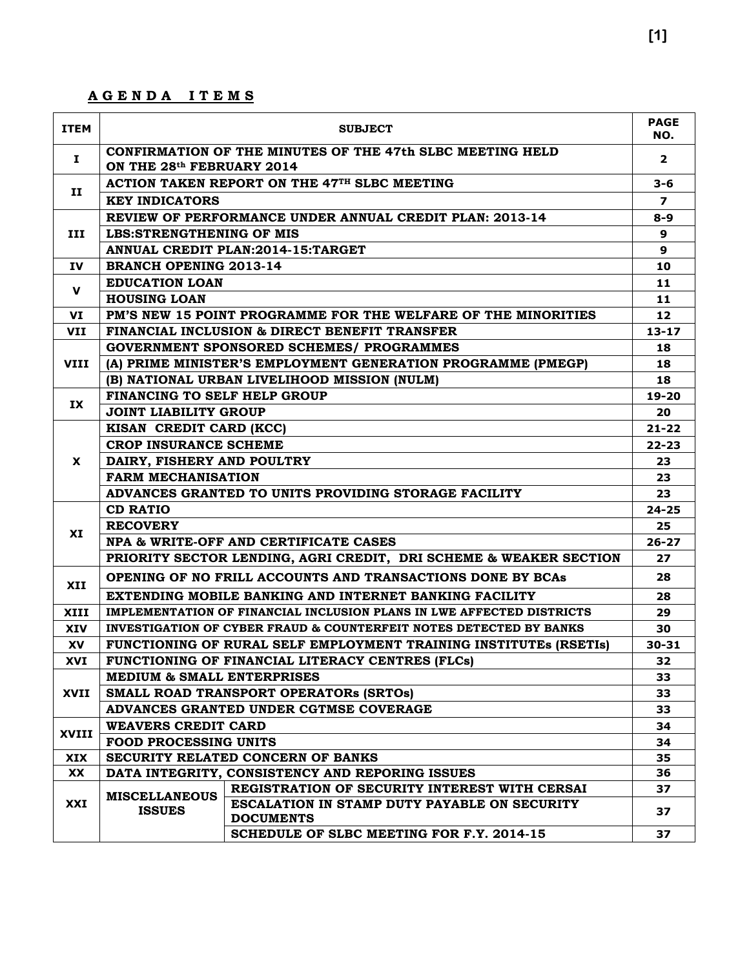### A G E N D A I T E M S

| <b>ITEM</b>  | <b>SUBJECT</b>                                       |                                                                               |              |  |  |  |
|--------------|------------------------------------------------------|-------------------------------------------------------------------------------|--------------|--|--|--|
| Ι.           | ON THE 28th FEBRUARY 2014                            | CONFIRMATION OF THE MINUTES OF THE 47th SLBC MEETING HELD                     | $\mathbf{2}$ |  |  |  |
|              | ACTION TAKEN REPORT ON THE 47TH SLBC MEETING         |                                                                               |              |  |  |  |
| п            | <b>KEY INDICATORS</b>                                |                                                                               |              |  |  |  |
|              |                                                      | REVIEW OF PERFORMANCE UNDER ANNUAL CREDIT PLAN: 2013-14                       | $8 - 9$      |  |  |  |
| III          | <b>LBS:STRENGTHENING OF MIS</b>                      |                                                                               | 9            |  |  |  |
|              |                                                      | ANNUAL CREDIT PLAN: 2014-15: TARGET                                           | 9            |  |  |  |
| <b>IV</b>    | <b>BRANCH OPENING 2013-14</b>                        |                                                                               | 10           |  |  |  |
|              | <b>EDUCATION LOAN</b>                                |                                                                               | 11           |  |  |  |
| v            | <b>HOUSING LOAN</b>                                  |                                                                               | 11           |  |  |  |
| VI           |                                                      | PM'S NEW 15 POINT PROGRAMME FOR THE WELFARE OF THE MINORITIES                 | 12           |  |  |  |
| <b>VII</b>   |                                                      | <b>FINANCIAL INCLUSION &amp; DIRECT BENEFIT TRANSFER</b>                      | $13 - 17$    |  |  |  |
|              |                                                      | <b>GOVERNMENT SPONSORED SCHEMES/ PROGRAMMES</b>                               | 18           |  |  |  |
| <b>VIII</b>  |                                                      | (A) PRIME MINISTER'S EMPLOYMENT GENERATION PROGRAMME (PMEGP)                  | 18           |  |  |  |
|              |                                                      | (B) NATIONAL URBAN LIVELIHOOD MISSION (NULM)                                  | 18           |  |  |  |
|              | FINANCING TO SELF HELP GROUP                         |                                                                               | $19 - 20$    |  |  |  |
| IX           | <b>JOINT LIABILITY GROUP</b>                         |                                                                               | 20           |  |  |  |
|              | KISAN CREDIT CARD (KCC)                              |                                                                               | $21 - 22$    |  |  |  |
|              | <b>CROP INSURANCE SCHEME</b>                         |                                                                               | $22 - 23$    |  |  |  |
| X            | DAIRY, FISHERY AND POULTRY                           |                                                                               |              |  |  |  |
|              | <b>FARM MECHANISATION</b>                            |                                                                               | 23           |  |  |  |
|              | ADVANCES GRANTED TO UNITS PROVIDING STORAGE FACILITY |                                                                               |              |  |  |  |
|              | <b>CD RATIO</b>                                      |                                                                               | $24 - 25$    |  |  |  |
|              | <b>RECOVERY</b>                                      |                                                                               | 25           |  |  |  |
| XI           |                                                      | NPA & WRITE-OFF AND CERTIFICATE CASES                                         | $26 - 27$    |  |  |  |
|              |                                                      | PRIORITY SECTOR LENDING, AGRI CREDIT, DRI SCHEME & WEAKER SECTION             | 27           |  |  |  |
| XII          |                                                      | OPENING OF NO FRILL ACCOUNTS AND TRANSACTIONS DONE BY BCAS                    | 28           |  |  |  |
|              |                                                      | EXTENDING MOBILE BANKING AND INTERNET BANKING FACILITY                        | 28           |  |  |  |
| XIII         |                                                      | IMPLEMENTATION OF FINANCIAL INCLUSION PLANS IN LWE AFFECTED DISTRICTS         | 29           |  |  |  |
| <b>XIV</b>   |                                                      | <b>INVESTIGATION OF CYBER FRAUD &amp; COUNTERFEIT NOTES DETECTED BY BANKS</b> | 30           |  |  |  |
| XV           |                                                      | FUNCTIONING OF RURAL SELF EMPLOYMENT TRAINING INSTITUTES (RSETIS)             | $30 - 31$    |  |  |  |
| XVI          |                                                      | FUNCTIONING OF FINANCIAL LITERACY CENTRES (FLCs)                              | 32           |  |  |  |
|              | <b>MEDIUM &amp; SMALL ENTERPRISES</b>                |                                                                               | 33           |  |  |  |
| XVII         |                                                      | SMALL ROAD TRANSPORT OPERATORS (SRTOS)                                        | 33           |  |  |  |
|              |                                                      | ADVANCES GRANTED UNDER CGTMSE COVERAGE                                        | 33           |  |  |  |
| <b>XVIII</b> | <b>WEAVERS CREDIT CARD</b>                           |                                                                               | 34           |  |  |  |
|              | <b>FOOD PROCESSING UNITS</b>                         |                                                                               |              |  |  |  |
| <b>XIX</b>   |                                                      | SECURITY RELATED CONCERN OF BANKS                                             | 35           |  |  |  |
| <b>XX</b>    |                                                      | DATA INTEGRITY, CONSISTENCY AND REPORING ISSUES                               | 36           |  |  |  |
|              | <b>MISCELLANEOUS</b>                                 | REGISTRATION OF SECURITY INTEREST WITH CERSAI                                 | 37           |  |  |  |
| XXI          | <b>ISSUES</b>                                        | ESCALATION IN STAMP DUTY PAYABLE ON SECURITY                                  | 37           |  |  |  |
|              |                                                      | <b>DOCUMENTS</b>                                                              |              |  |  |  |
|              |                                                      | SCHEDULE OF SLBC MEETING FOR F.Y. 2014-15                                     | 37           |  |  |  |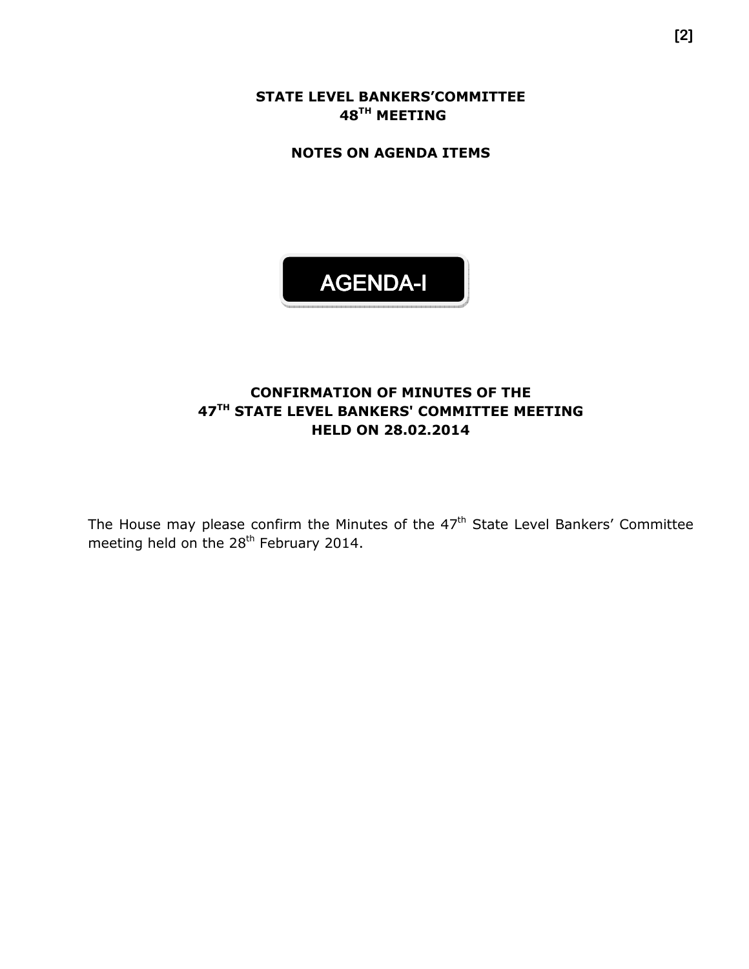STATE LEVEL BANKERS'COMMITTEE 48<sup>TH</sup> MEETING

NOTES ON AGENDA ITEMS

# AGENDA-I

### CONFIRMATION OF MINUTES OF THE 47<sup>TH</sup> STATE LEVEL BANKERS' COMMITTEE MEETING HELD ON 28.02.2014

The House may please confirm the Minutes of the  $47<sup>th</sup>$  State Level Bankers' Committee meeting held on the 28<sup>th</sup> February 2014.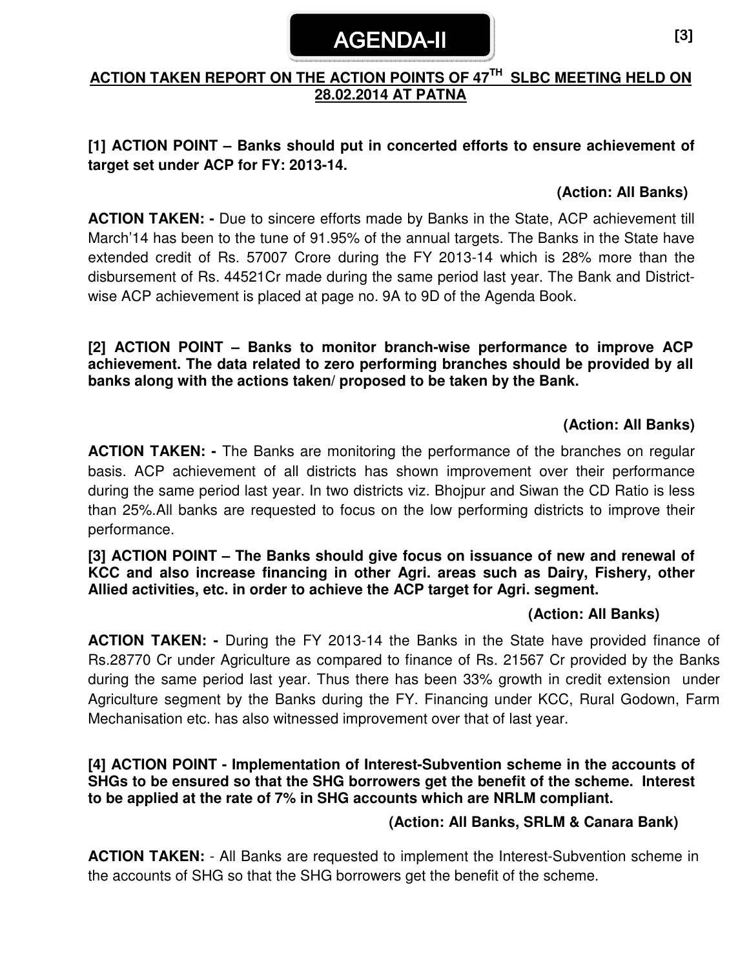# AGENDA-II

# **ACTION TAKEN REPORT ON THE ACTION POINTS OF 47TH SLBC MEETING HELD ON 28.02.2014 AT PATNA**

# **[1] ACTION POINT – Banks should put in concerted efforts to ensure achievement of target set under ACP for FY: 2013-14.**

#### **(Action: All Banks)**

**ACTION TAKEN: -** Due to sincere efforts made by Banks in the State, ACP achievement till March'14 has been to the tune of 91.95% of the annual targets. The Banks in the State have extended credit of Rs. 57007 Crore during the FY 2013-14 which is 28% more than the disbursement of Rs. 44521Cr made during the same period last year. The Bank and Districtwise ACP achievement is placed at page no. 9A to 9D of the Agenda Book.

**[2] ACTION POINT – Banks to monitor branch-wise performance to improve ACP achievement. The data related to zero performing branches should be provided by all banks along with the actions taken/ proposed to be taken by the Bank.** 

### **(Action: All Banks)**

**ACTION TAKEN: -** The Banks are monitoring the performance of the branches on regular basis. ACP achievement of all districts has shown improvement over their performance during the same period last year. In two districts viz. Bhojpur and Siwan the CD Ratio is less than 25%.All banks are requested to focus on the low performing districts to improve their performance.

#### **[3] ACTION POINT – The Banks should give focus on issuance of new and renewal of KCC and also increase financing in other Agri. areas such as Dairy, Fishery, other Allied activities, etc. in order to achieve the ACP target for Agri. segment.**

#### **(Action: All Banks)**

**ACTION TAKEN: -** During the FY 2013-14 the Banks in the State have provided finance of Rs.28770 Cr under Agriculture as compared to finance of Rs. 21567 Cr provided by the Banks during the same period last year. Thus there has been 33% growth in credit extension under Agriculture segment by the Banks during the FY. Financing under KCC, Rural Godown, Farm Mechanisation etc. has also witnessed improvement over that of last year.

**[4] ACTION POINT - Implementation of Interest-Subvention scheme in the accounts of SHGs to be ensured so that the SHG borrowers get the benefit of the scheme. Interest to be applied at the rate of 7% in SHG accounts which are NRLM compliant.** 

#### **(Action: All Banks, SRLM & Canara Bank)**

**ACTION TAKEN:** - All Banks are requested to implement the Interest-Subvention scheme in the accounts of SHG so that the SHG borrowers get the benefit of the scheme.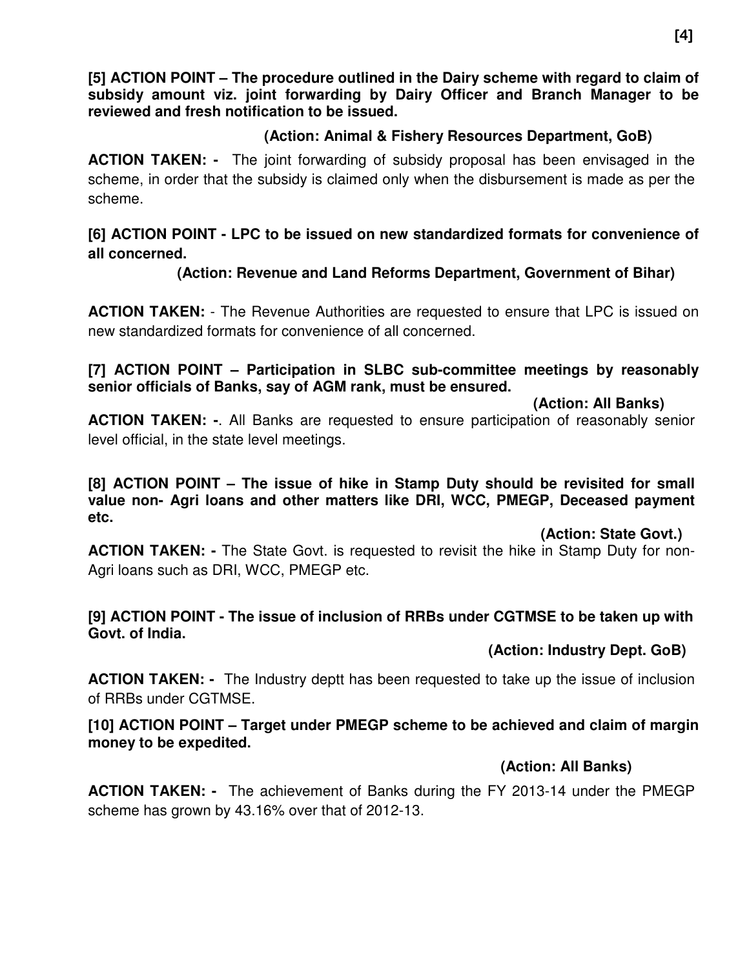**[5] ACTION POINT – The procedure outlined in the Dairy scheme with regard to claim of subsidy amount viz. joint forwarding by Dairy Officer and Branch Manager to be reviewed and fresh notification to be issued.** 

#### **(Action: Animal & Fishery Resources Department, GoB)**

**ACTION TAKEN: -** The joint forwarding of subsidy proposal has been envisaged in the scheme, in order that the subsidy is claimed only when the disbursement is made as per the scheme.

# **[6] ACTION POINT - LPC to be issued on new standardized formats for convenience of all concerned.**

# **(Action: Revenue and Land Reforms Department, Government of Bihar)**

**ACTION TAKEN:** - The Revenue Authorities are requested to ensure that LPC is issued on new standardized formats for convenience of all concerned.

#### **[7] ACTION POINT – Participation in SLBC sub-committee meetings by reasonably senior officials of Banks, say of AGM rank, must be ensured.**

#### **(Action: All Banks)**

**ACTION TAKEN: -**. All Banks are requested to ensure participation of reasonably senior level official, in the state level meetings.

**[8] ACTION POINT – The issue of hike in Stamp Duty should be revisited for small value non- Agri loans and other matters like DRI, WCC, PMEGP, Deceased payment etc.** 

#### **(Action: State Govt.)**

**ACTION TAKEN: -** The State Govt. is requested to revisit the hike in Stamp Duty for non-Agri loans such as DRI, WCC, PMEGP etc.

#### **[9] ACTION POINT - The issue of inclusion of RRBs under CGTMSE to be taken up with Govt. of India.**

#### **(Action: Industry Dept. GoB)**

**ACTION TAKEN: -** The Industry deptt has been requested to take up the issue of inclusion of RRBs under CGTMSE.

#### **[10] ACTION POINT – Target under PMEGP scheme to be achieved and claim of margin money to be expedited.**

# **(Action: All Banks)**

**ACTION TAKEN: -** The achievement of Banks during the FY 2013-14 under the PMEGP scheme has grown by 43.16% over that of 2012-13.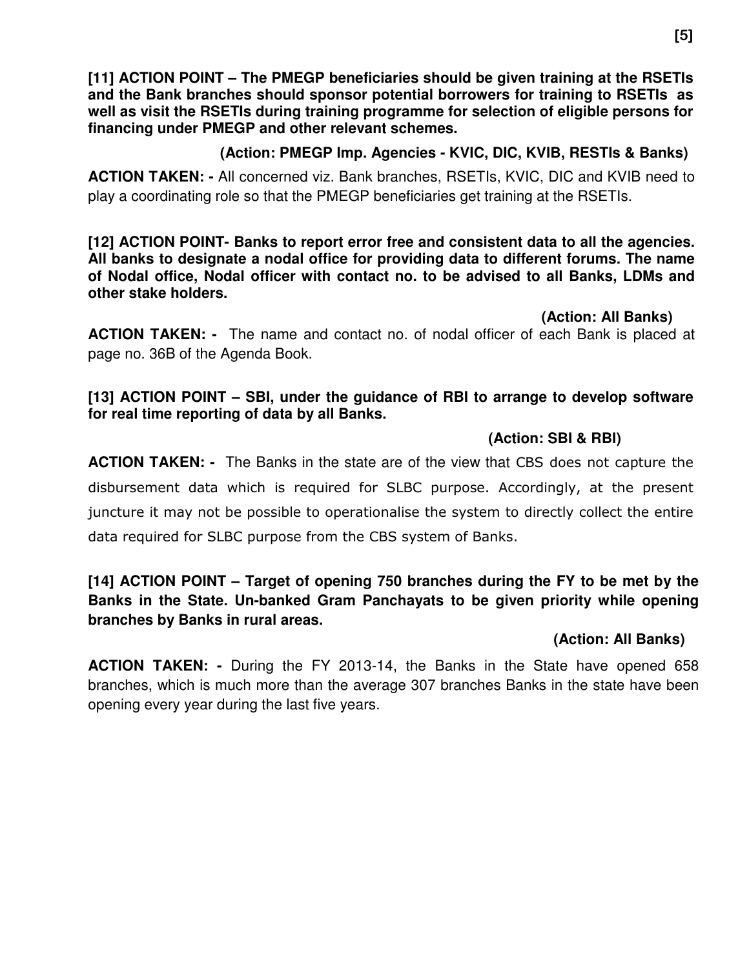**[11] ACTION POINT – The PMEGP beneficiaries should be given training at the RSETIs and the Bank branches should sponsor potential borrowers for training to RSETIs as well as visit the RSETIs during training programme for selection of eligible persons for financing under PMEGP and other relevant schemes.** 

# **(Action: PMEGP Imp. Agencies - KVIC, DIC, KVIB, RESTIs & Banks)**

**ACTION TAKEN: -** All concerned viz. Bank branches, RSETIs, KVIC, DIC and KVIB need to play a coordinating role so that the PMEGP beneficiaries get training at the RSETIs.

**[12] ACTION POINT- Banks to report error free and consistent data to all the agencies. All banks to designate a nodal office for providing data to different forums. The name of Nodal office, Nodal officer with contact no. to be advised to all Banks, LDMs and other stake holders.** 

 **(Action: All Banks)** 

**ACTION TAKEN: -** The name and contact no. of nodal officer of each Bank is placed at page no. 36B of the Agenda Book.

#### **[13] ACTION POINT – SBI, under the guidance of RBI to arrange to develop software for real time reporting of data by all Banks.**

### **(Action: SBI & RBI)**

**ACTION TAKEN: -** The Banks in the state are of the view that CBS does not capture the disbursement data which is required for SLBC purpose. Accordingly, at the present juncture it may not be possible to operationalise the system to directly collect the entire data required for SLBC purpose from the CBS system of Banks.

# **[14] ACTION POINT – Target of opening 750 branches during the FY to be met by the Banks in the State. Un-banked Gram Panchayats to be given priority while opening branches by Banks in rural areas.**

# **(Action: All Banks)**

**ACTION TAKEN: -** During the FY 2013-14, the Banks in the State have opened 658 branches, which is much more than the average 307 branches Banks in the state have been opening every year during the last five years.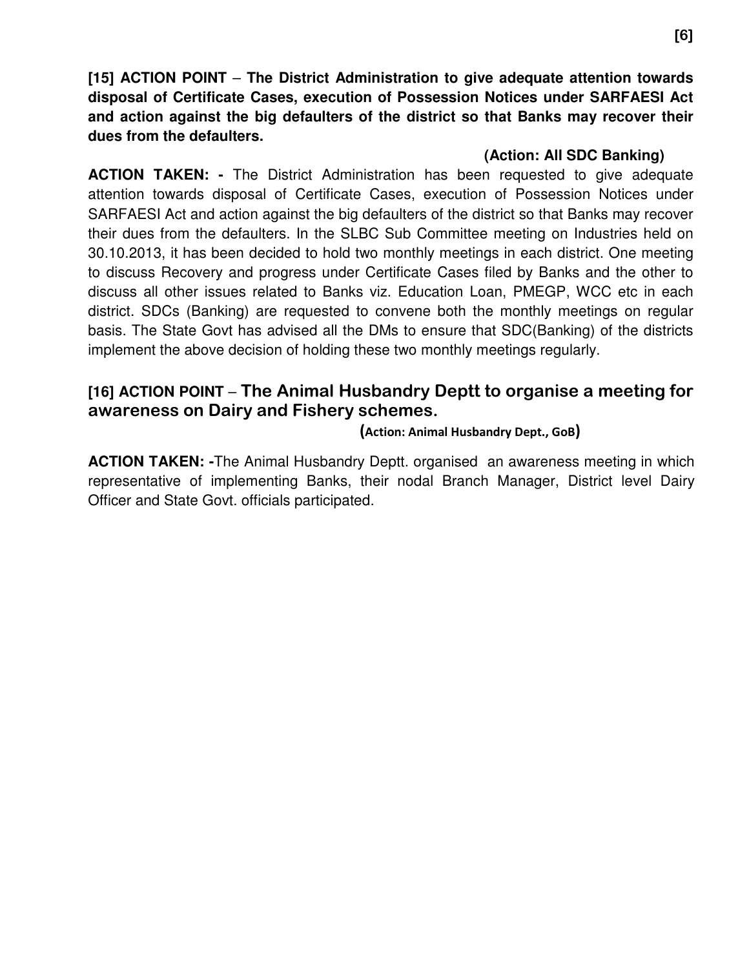**[15] ACTION POINT** – **The District Administration to give adequate attention towards disposal of Certificate Cases, execution of Possession Notices under SARFAESI Act and action against the big defaulters of the district so that Banks may recover their dues from the defaulters.** 

#### **(Action: All SDC Banking)**

**ACTION TAKEN: -** The District Administration has been requested to give adequate attention towards disposal of Certificate Cases, execution of Possession Notices under SARFAESI Act and action against the big defaulters of the district so that Banks may recover their dues from the defaulters. In the SLBC Sub Committee meeting on Industries held on 30.10.2013, it has been decided to hold two monthly meetings in each district. One meeting to discuss Recovery and progress under Certificate Cases filed by Banks and the other to discuss all other issues related to Banks viz. Education Loan, PMEGP, WCC etc in each district. SDCs (Banking) are requested to convene both the monthly meetings on regular basis. The State Govt has advised all the DMs to ensure that SDC(Banking) of the districts implement the above decision of holding these two monthly meetings regularly.

# **[16] ACTION POINT** – The Animal Husbandry Deptt to organise a meeting for awareness on Dairy and Fishery schemes.

#### (Action: Animal Husbandry Dept., GoB)

**ACTION TAKEN: -**The Animal Husbandry Deptt. organised an awareness meeting in which representative of implementing Banks, their nodal Branch Manager, District level Dairy Officer and State Govt. officials participated.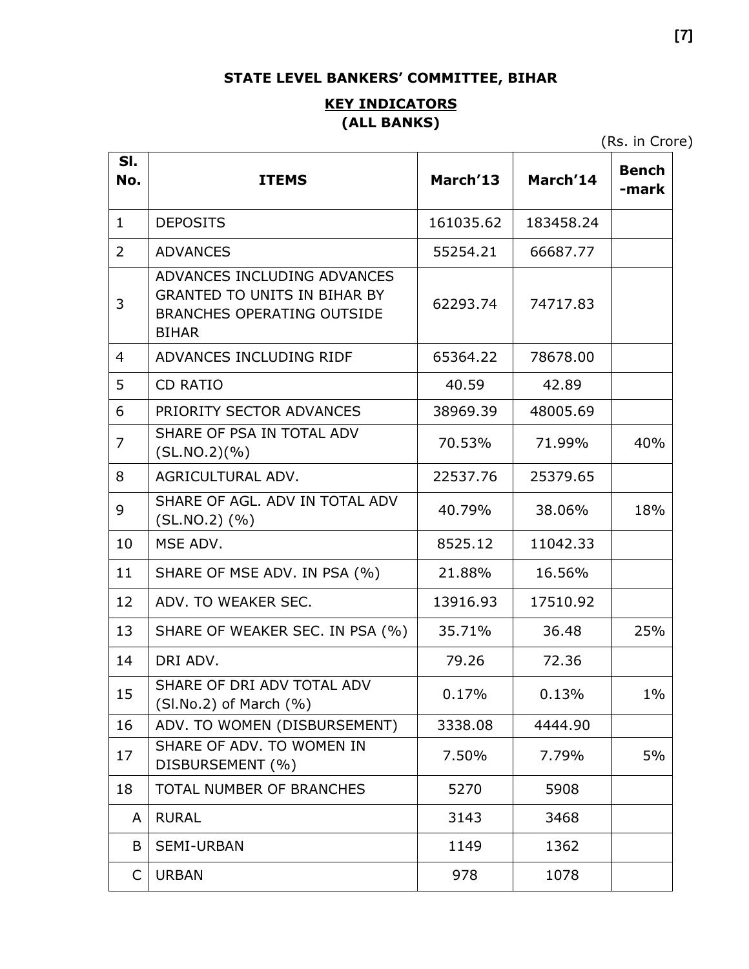# STATE LEVEL BANKERS' COMMITTEE, BIHAR

# **KEY INDICATORS** (ALL BANKS)

(Rs. in Crore)

| SI.<br>No.     | <b>ITEMS</b>                                                                                                            | March'13  | March'14  | <b>Bench</b><br>-mark |
|----------------|-------------------------------------------------------------------------------------------------------------------------|-----------|-----------|-----------------------|
| $\mathbf{1}$   | <b>DEPOSITS</b>                                                                                                         | 161035.62 | 183458.24 |                       |
| 2              | <b>ADVANCES</b>                                                                                                         | 55254.21  | 66687.77  |                       |
| 3              | ADVANCES INCLUDING ADVANCES<br><b>GRANTED TO UNITS IN BIHAR BY</b><br><b>BRANCHES OPERATING OUTSIDE</b><br><b>BIHAR</b> | 62293.74  | 74717.83  |                       |
| $\overline{4}$ | ADVANCES INCLUDING RIDF                                                                                                 | 65364.22  | 78678.00  |                       |
| 5              | <b>CD RATIO</b>                                                                                                         | 40.59     | 42.89     |                       |
| 6              | PRIORITY SECTOR ADVANCES                                                                                                | 38969.39  | 48005.69  |                       |
| 7              | SHARE OF PSA IN TOTAL ADV<br>(SLNO.2)(% )                                                                               | 70.53%    | 71.99%    | 40%                   |
| 8              | AGRICULTURAL ADV.                                                                                                       | 22537.76  | 25379.65  |                       |
| 9              | SHARE OF AGL. ADV IN TOTAL ADV<br>$(SL.NO.2)$ $(\% )$                                                                   | 40.79%    | 38.06%    | 18%                   |
| 10             | MSE ADV.                                                                                                                | 8525.12   | 11042.33  |                       |
| 11             | SHARE OF MSE ADV. IN PSA (%)                                                                                            | 21.88%    | 16.56%    |                       |
| 12             | ADV. TO WEAKER SEC.                                                                                                     | 13916.93  | 17510.92  |                       |
| 13             | SHARE OF WEAKER SEC. IN PSA (%)                                                                                         | 35.71%    | 36.48     | 25%                   |
| 14             | DRI ADV.                                                                                                                | 79.26     | 72.36     |                       |
| 15             | SHARE OF DRI ADV TOTAL ADV<br>$(SI.No.2)$ of March $(\% )$                                                              | 0.17%     | 0.13%     | $1\%$                 |
| 16             | ADV. TO WOMEN (DISBURSEMENT)                                                                                            | 3338.08   | 4444.90   |                       |
| 17             | SHARE OF ADV. TO WOMEN IN<br>DISBURSEMENT (%)                                                                           | 7.50%     | 7.79%     | 5%                    |
| 18             | TOTAL NUMBER OF BRANCHES                                                                                                | 5270      | 5908      |                       |
| A              | <b>RURAL</b>                                                                                                            | 3143      | 3468      |                       |
| B              | <b>SEMI-URBAN</b>                                                                                                       | 1149      | 1362      |                       |
| C              | <b>URBAN</b>                                                                                                            | 978       | 1078      |                       |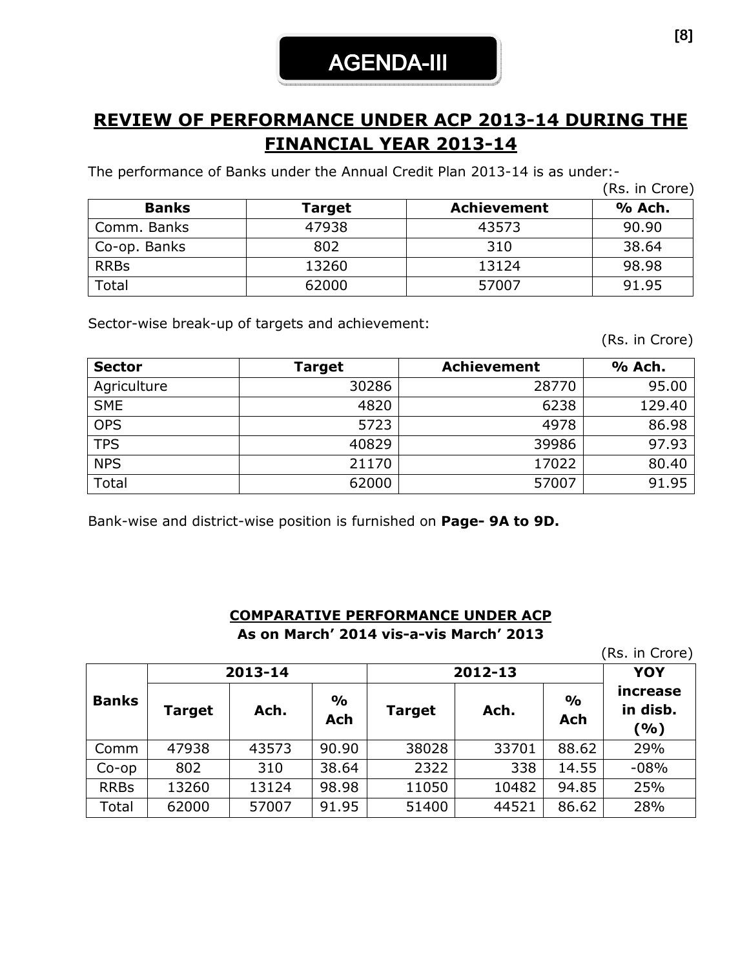# REVIEW OF PERFORMANCE UNDER ACP 2013-14 DURING THE FINANCIAL YEAR 2013-14

The performance of Banks under the Annual Credit Plan 2013-14 is as under:-

|              |        |                    | (Rs. in Crore) |
|--------------|--------|--------------------|----------------|
| <b>Banks</b> | Target | <b>Achievement</b> | % Ach.         |
| Comm. Banks  | 47938  | 43573              | 90.90          |
| Co-op. Banks | 802    | 310                | 38.64          |
| <b>RRBs</b>  | 13260  | 13124              | 98.98          |
| Total        | 62000  | 57007              | 91.95          |

Sector-wise break-up of targets and achievement:

(Rs. in Crore)

| <b>Sector</b> | Target | <b>Achievement</b> | % Ach. |
|---------------|--------|--------------------|--------|
| Agriculture   | 30286  | 28770              | 95.00  |
| <b>SME</b>    | 4820   | 6238               | 129.40 |
| <b>OPS</b>    | 5723   | 4978               | 86.98  |
| <b>TPS</b>    | 40829  | 39986              | 97.93  |
| <b>NPS</b>    | 21170  | 17022              | 80.40  |
| Total         | 62000  | 57007              | 91.95  |

Bank-wise and district-wise position is furnished on Page- 9A to 9D.

#### COMPARATIVE PERFORMANCE UNDER ACP As on March' 2014 vis-a-vis March' 2013

(Rs. in Crore)

|              |        | 2013-14 |                      | 2012-13       | <b>YOY</b> |                      |                             |  |
|--------------|--------|---------|----------------------|---------------|------------|----------------------|-----------------------------|--|
| <b>Banks</b> | Target | Ach.    | $\frac{1}{2}$<br>Ach | <b>Target</b> | Ach.       | $\frac{1}{2}$<br>Ach | increase<br>in disb.<br>(%) |  |
| Comm         | 47938  | 43573   | 90.90                | 38028         | 33701      | 88.62                | 29%                         |  |
| $Co$ -op     | 802    | 310     | 38.64                | 2322          | 338        | 14.55                | $-08%$                      |  |
| <b>RRBs</b>  | 13260  | 13124   | 98.98                | 11050         | 10482      | 94.85                | 25%                         |  |
| Total        | 62000  | 57007   | 91.95                | 51400         | 44521      | 86.62                | 28%                         |  |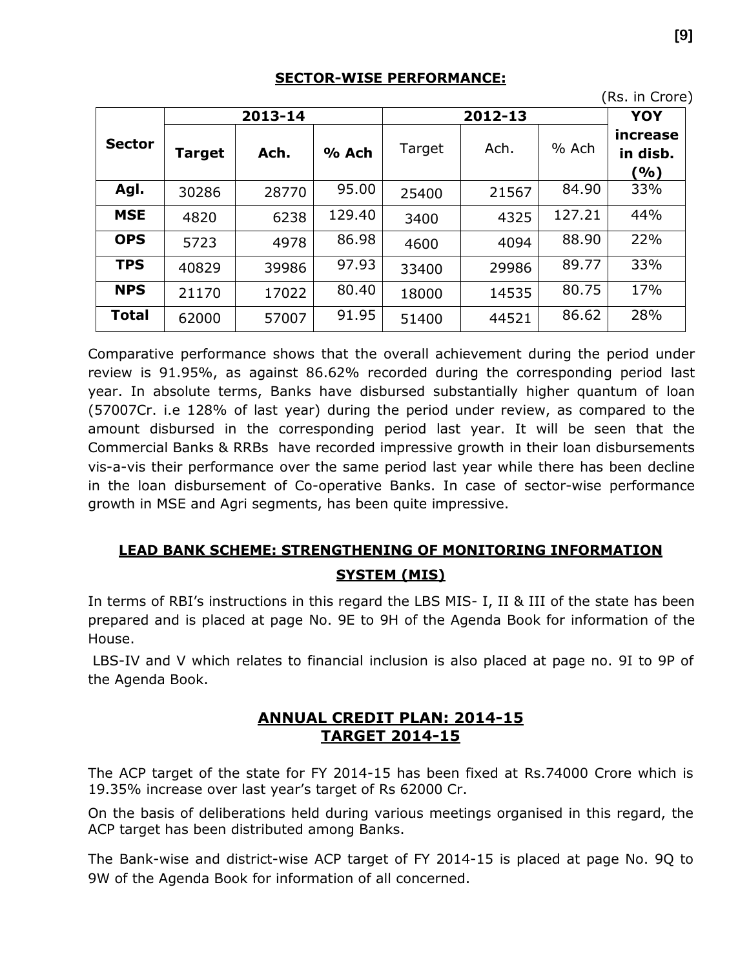#### SECTOR-WISE PERFORMANCE:

|               |               |         |         |        |         |        | (Rs. in Crore)              |
|---------------|---------------|---------|---------|--------|---------|--------|-----------------------------|
|               |               | 2013-14 |         |        | 2012-13 |        | <b>YOY</b>                  |
| <b>Sector</b> | <b>Target</b> | Ach.    | $%$ Ach | Target | Ach.    | % Ach  | increase<br>in disb.<br>(%) |
| Agl.          | 30286         | 28770   | 95.00   | 25400  | 21567   | 84.90  | 33%                         |
| <b>MSE</b>    | 4820          | 6238    | 129.40  | 3400   | 4325    | 127.21 | 44%                         |
| <b>OPS</b>    | 5723          | 4978    | 86.98   | 4600   | 4094    | 88.90  | 22%                         |
| <b>TPS</b>    | 40829         | 39986   | 97.93   | 33400  | 29986   | 89.77  | 33%                         |
| <b>NPS</b>    | 21170         | 17022   | 80.40   | 18000  | 14535   | 80.75  | 17%                         |
| <b>Total</b>  | 62000         | 57007   | 91.95   | 51400  | 44521   | 86.62  | 28%                         |

Comparative performance shows that the overall achievement during the period under review is 91.95%, as against 86.62% recorded during the corresponding period last year. In absolute terms, Banks have disbursed substantially higher quantum of loan (57007Cr. i.e 128% of last year) during the period under review, as compared to the amount disbursed in the corresponding period last year. It will be seen that the Commercial Banks & RRBs have recorded impressive growth in their loan disbursements vis-a-vis their performance over the same period last year while there has been decline in the loan disbursement of Co-operative Banks. In case of sector-wise performance growth in MSE and Agri segments, has been quite impressive.

# LEAD BANK SCHEME: STRENGTHENING OF MONITORING INFORMATION SYSTEM (MIS)

In terms of RBI's instructions in this regard the LBS MIS- I, II & III of the state has been prepared and is placed at page No. 9E to 9H of the Agenda Book for information of the House.

 LBS-IV and V which relates to financial inclusion is also placed at page no. 9I to 9P of the Agenda Book.

### ANNUAL CREDIT PLAN: 2014-15 TARGET 2014-15

The ACP target of the state for FY 2014-15 has been fixed at Rs.74000 Crore which is 19.35% increase over last year's target of Rs 62000 Cr.

On the basis of deliberations held during various meetings organised in this regard, the ACP target has been distributed among Banks.

The Bank-wise and district-wise ACP target of FY 2014-15 is placed at page No. 9Q to 9W of the Agenda Book for information of all concerned.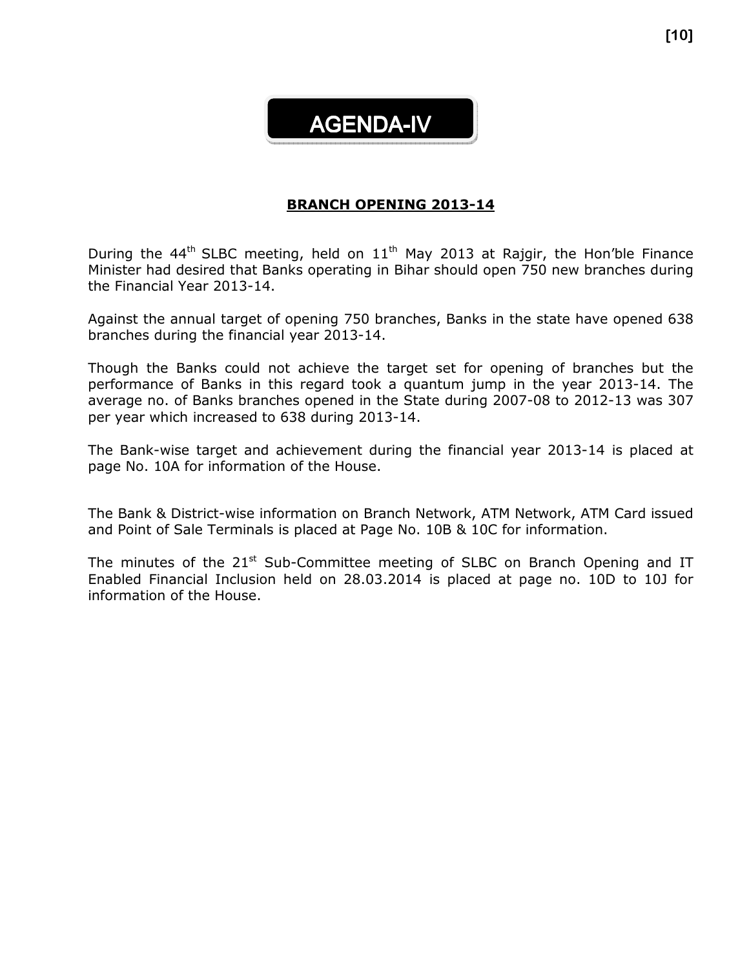# AGENDA-IV

#### BRANCH OPENING 2013-14

During the 44<sup>th</sup> SLBC meeting, held on  $11<sup>th</sup>$  May 2013 at Rajgir, the Hon'ble Finance Minister had desired that Banks operating in Bihar should open 750 new branches during the Financial Year 2013-14.

Against the annual target of opening 750 branches, Banks in the state have opened 638 branches during the financial year 2013-14.

Though the Banks could not achieve the target set for opening of branches but the performance of Banks in this regard took a quantum jump in the year 2013-14. The average no. of Banks branches opened in the State during 2007-08 to 2012-13 was 307 per year which increased to 638 during 2013-14.

The Bank-wise target and achievement during the financial year 2013-14 is placed at page No. 10A for information of the House.

The Bank & District-wise information on Branch Network, ATM Network, ATM Card issued and Point of Sale Terminals is placed at Page No. 10B & 10C for information.

The minutes of the  $21^{st}$  Sub-Committee meeting of SLBC on Branch Opening and IT Enabled Financial Inclusion held on 28.03.2014 is placed at page no. 10D to 10J for information of the House.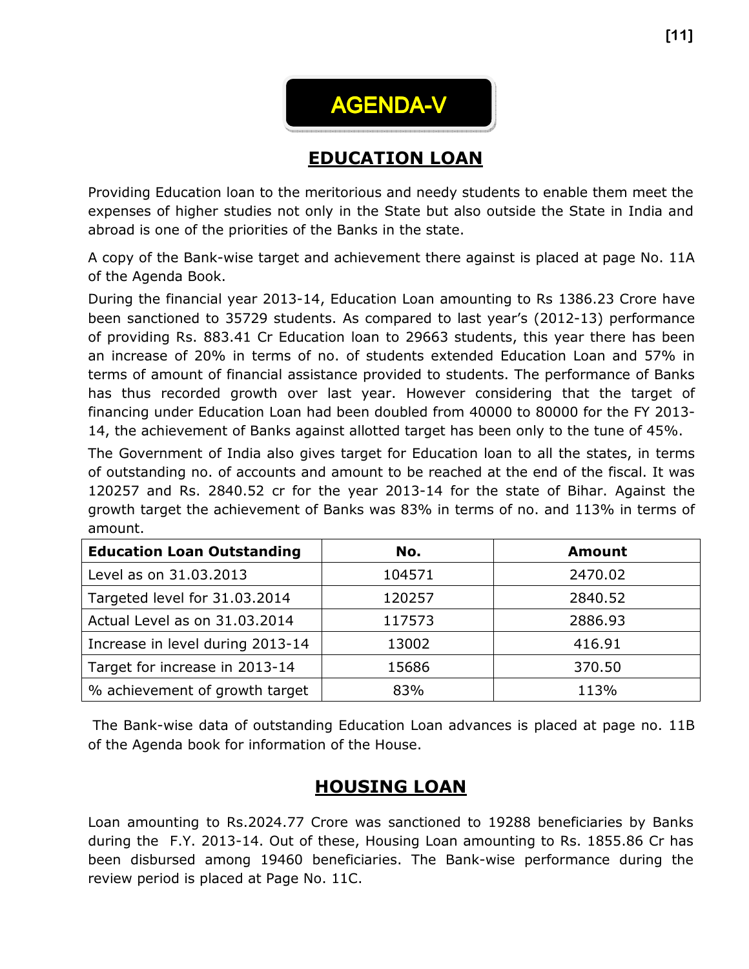# AGENDA-V

# EDUCATION LOAN

Providing Education loan to the meritorious and needy students to enable them meet the expenses of higher studies not only in the State but also outside the State in India and abroad is one of the priorities of the Banks in the state.

A copy of the Bank-wise target and achievement there against is placed at page No. 11A of the Agenda Book.

During the financial year 2013-14, Education Loan amounting to Rs 1386.23 Crore have been sanctioned to 35729 students. As compared to last year's (2012-13) performance of providing Rs. 883.41 Cr Education loan to 29663 students, this year there has been an increase of 20% in terms of no. of students extended Education Loan and 57% in terms of amount of financial assistance provided to students. The performance of Banks has thus recorded growth over last year. However considering that the target of financing under Education Loan had been doubled from 40000 to 80000 for the FY 2013- 14, the achievement of Banks against allotted target has been only to the tune of 45%.

The Government of India also gives target for Education loan to all the states, in terms of outstanding no. of accounts and amount to be reached at the end of the fiscal. It was 120257 and Rs. 2840.52 cr for the year 2013-14 for the state of Bihar. Against the growth target the achievement of Banks was 83% in terms of no. and 113% in terms of amount.

| <b>Education Loan Outstanding</b> | No.    | <b>Amount</b> |
|-----------------------------------|--------|---------------|
| Level as on 31.03.2013            | 104571 | 2470.02       |
| Targeted level for 31.03.2014     | 120257 | 2840.52       |
| Actual Level as on 31.03.2014     | 117573 | 2886.93       |
| Increase in level during 2013-14  | 13002  | 416.91        |
| Target for increase in 2013-14    | 15686  | 370.50        |
| % achievement of growth target    | 83%    | 113%          |

 The Bank-wise data of outstanding Education Loan advances is placed at page no. 11B of the Agenda book for information of the House.

# HOUSING LOAN

Loan amounting to Rs.2024.77 Crore was sanctioned to 19288 beneficiaries by Banks during the F.Y. 2013-14. Out of these, Housing Loan amounting to Rs. 1855.86 Cr has been disbursed among 19460 beneficiaries. The Bank-wise performance during the review period is placed at Page No. 11C.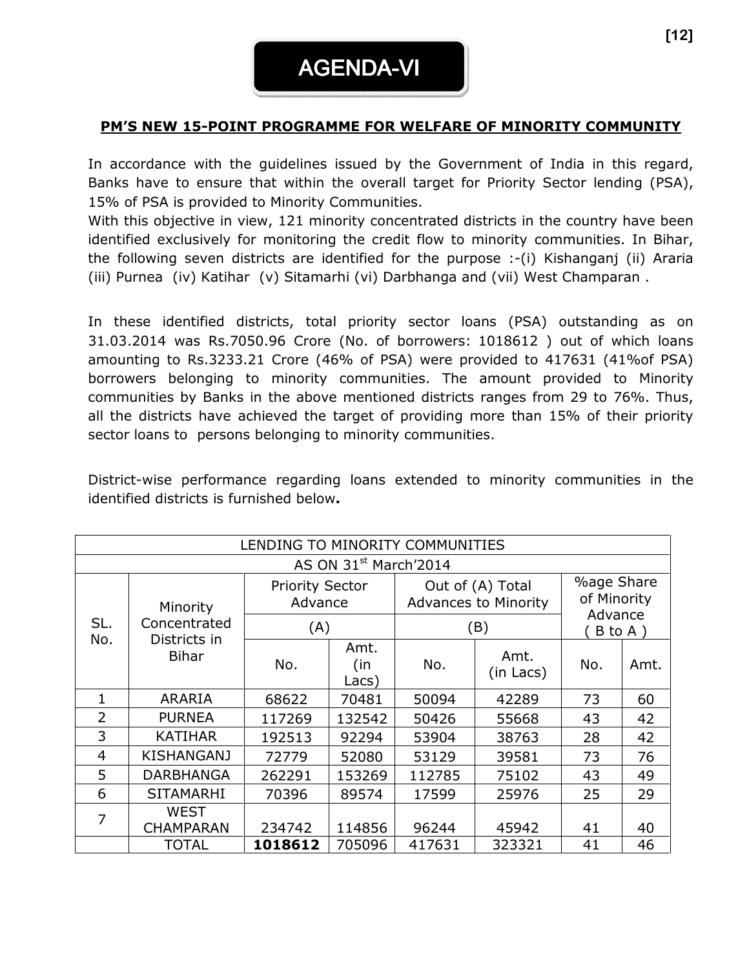### PM'S NEW 15-POINT PROGRAMME FOR WELFARE OF MINORITY COMMUNITY

In accordance with the guidelines issued by the Government of India in this regard, Banks have to ensure that within the overall target for Priority Sector lending (PSA), 15% of PSA is provided to Minority Communities.

With this objective in view, 121 minority concentrated districts in the country have been identified exclusively for monitoring the credit flow to minority communities. In Bihar, the following seven districts are identified for the purpose :-(i) Kishanganj (ii) Araria (iii) Purnea (iv) Katihar (v) Sitamarhi (vi) Darbhanga and (vii) West Champaran .

In these identified districts, total priority sector loans (PSA) outstanding as on 31.03.2014 was Rs.7050.96 Crore (No. of borrowers: 1018612 ) out of which loans amounting to Rs.3233.21 Crore (46% of PSA) were provided to 417631 (41%of PSA) borrowers belonging to minority communities. The amount provided to Minority communities by Banks in the above mentioned districts ranges from 29 to 76%. Thus, all the districts have achieved the target of providing more than 15% of their priority sector loans to persons belonging to minority communities.

District-wise performance regarding loans extended to minority communities in the identified districts is furnished below.

| LENDING TO MINORITY COMMUNITIES |                                   |                                   |                      |        |                                                 |                                             |         |  |  |
|---------------------------------|-----------------------------------|-----------------------------------|----------------------|--------|-------------------------------------------------|---------------------------------------------|---------|--|--|
|                                 | AS ON 31 <sup>st</sup> March'2014 |                                   |                      |        |                                                 |                                             |         |  |  |
|                                 | Minority                          | <b>Priority Sector</b><br>Advance |                      |        | Out of (A) Total<br><b>Advances to Minority</b> | <b>%age Share</b><br>of Minority<br>Advance |         |  |  |
| SL.                             | Concentrated                      | (A)                               |                      |        | (B)                                             |                                             | B to A) |  |  |
| No.                             | Districts in<br><b>Bihar</b>      | No.                               | Amt.<br>(in<br>Lacs) | No.    | Amt.<br>(in Lacs)                               | No.                                         | Amt.    |  |  |
| 1                               | ARARIA                            | 68622                             | 70481                | 50094  | 42289                                           | 73                                          | 60      |  |  |
| $\overline{2}$                  | <b>PURNEA</b>                     | 117269                            | 132542               | 50426  | 55668                                           | 43                                          | 42      |  |  |
| 3                               | <b>KATIHAR</b>                    | 192513                            | 92294                | 53904  | 38763                                           | 28                                          | 42      |  |  |
| 4                               | <b>KISHANGANJ</b>                 | 72779                             | 52080                | 53129  | 39581                                           | 73                                          | 76      |  |  |
| 5                               | <b>DARBHANGA</b>                  | 262291                            | 153269               | 112785 | 75102                                           | 43                                          | 49      |  |  |
| 6                               | <b>SITAMARHI</b>                  | 70396                             | 89574                | 17599  | 25976                                           | 25                                          | 29      |  |  |
| 7                               | <b>WEST</b><br><b>CHAMPARAN</b>   | 234742                            | 114856               | 96244  | 45942                                           | 41                                          | 40      |  |  |
|                                 | <b>TOTAL</b>                      | 1018612                           | 705096               | 417631 | 323321                                          | 41                                          | 46      |  |  |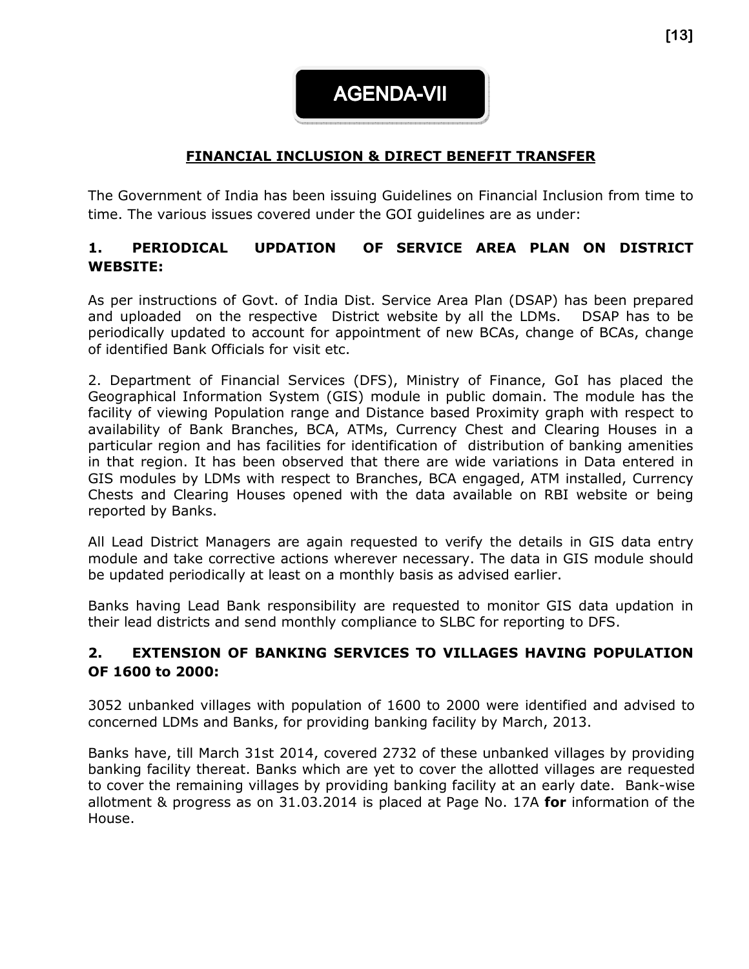**AGENDA-VII** 

# FINANCIAL INCLUSION & DIRECT BENEFIT TRANSFER

The Government of India has been issuing Guidelines on Financial Inclusion from time to time. The various issues covered under the GOI guidelines are as under:

#### 1. PERIODICAL UPDATION OF SERVICE AREA PLAN ON DISTRICT WEBSITE:

As per instructions of Govt. of India Dist. Service Area Plan (DSAP) has been prepared and uploaded on the respective District website by all the LDMs. DSAP has to be periodically updated to account for appointment of new BCAs, change of BCAs, change of identified Bank Officials for visit etc.

2. Department of Financial Services (DFS), Ministry of Finance, GoI has placed the Geographical Information System (GIS) module in public domain. The module has the facility of viewing Population range and Distance based Proximity graph with respect to availability of Bank Branches, BCA, ATMs, Currency Chest and Clearing Houses in a particular region and has facilities for identification of distribution of banking amenities in that region. It has been observed that there are wide variations in Data entered in GIS modules by LDMs with respect to Branches, BCA engaged, ATM installed, Currency Chests and Clearing Houses opened with the data available on RBI website or being reported by Banks.

All Lead District Managers are again requested to verify the details in GIS data entry module and take corrective actions wherever necessary. The data in GIS module should be updated periodically at least on a monthly basis as advised earlier.

Banks having Lead Bank responsibility are requested to monitor GIS data updation in their lead districts and send monthly compliance to SLBC for reporting to DFS.

#### 2. EXTENSION OF BANKING SERVICES TO VILLAGES HAVING POPULATION OF 1600 to 2000:

3052 unbanked villages with population of 1600 to 2000 were identified and advised to concerned LDMs and Banks, for providing banking facility by March, 2013.

Banks have, till March 31st 2014, covered 2732 of these unbanked villages by providing banking facility thereat. Banks which are yet to cover the allotted villages are requested to cover the remaining villages by providing banking facility at an early date. Bank-wise allotment & progress as on  $31.03.2014$  is placed at Page No. 17A for information of the House.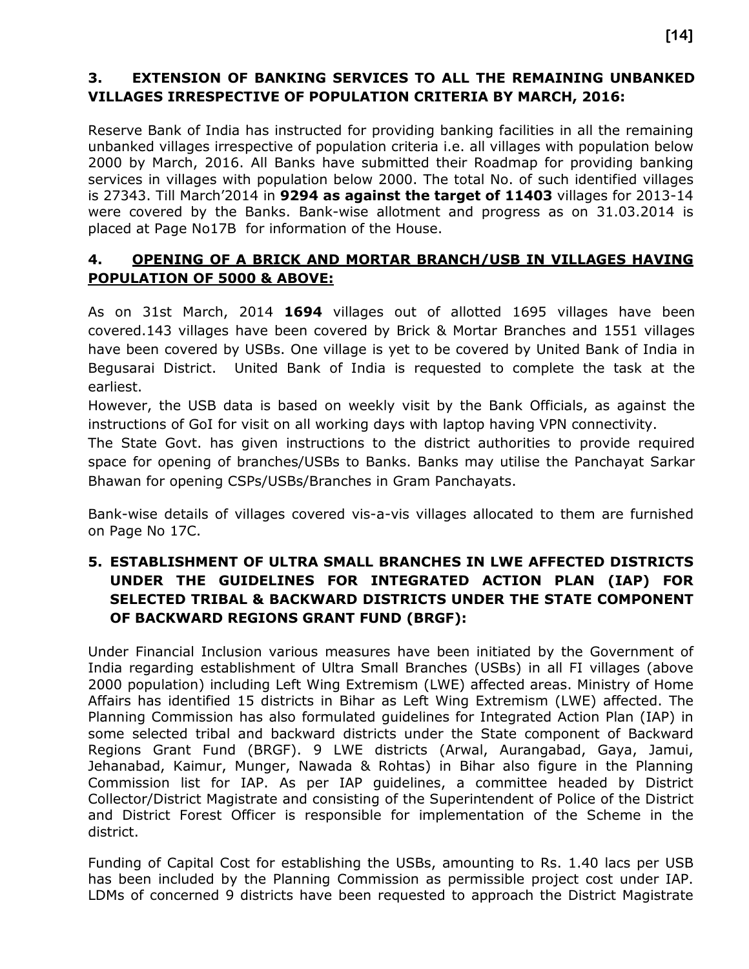### 3. EXTENSION OF BANKING SERVICES TO ALL THE REMAINING UNBANKED VILLAGES IRRESPECTIVE OF POPULATION CRITERIA BY MARCH, 2016:

Reserve Bank of India has instructed for providing banking facilities in all the remaining unbanked villages irrespective of population criteria i.e. all villages with population below 2000 by March, 2016. All Banks have submitted their Roadmap for providing banking services in villages with population below 2000. The total No. of such identified villages is 27343. Till March'2014 in 9294 as against the target of 11403 villages for 2013-14 were covered by the Banks. Bank-wise allotment and progress as on 31.03.2014 is placed at Page No17B for information of the House.

#### 4. OPENING OF A BRICK AND MORTAR BRANCH/USB IN VILLAGES HAVING POPULATION OF 5000 & ABOVE:

As on 31st March, 2014 1694 villages out of allotted 1695 villages have been covered.143 villages have been covered by Brick & Mortar Branches and 1551 villages have been covered by USBs. One village is yet to be covered by United Bank of India in Begusarai District. United Bank of India is requested to complete the task at the earliest.

However, the USB data is based on weekly visit by the Bank Officials, as against the instructions of GoI for visit on all working days with laptop having VPN connectivity.

The State Govt. has given instructions to the district authorities to provide required space for opening of branches/USBs to Banks. Banks may utilise the Panchayat Sarkar Bhawan for opening CSPs/USBs/Branches in Gram Panchayats.

Bank-wise details of villages covered vis-a-vis villages allocated to them are furnished on Page No 17C.

#### 5. ESTABLISHMENT OF ULTRA SMALL BRANCHES IN LWE AFFECTED DISTRICTS UNDER THE GUIDELINES FOR INTEGRATED ACTION PLAN (IAP) FOR SELECTED TRIBAL & BACKWARD DISTRICTS UNDER THE STATE COMPONENT OF BACKWARD REGIONS GRANT FUND (BRGF):

Under Financial Inclusion various measures have been initiated by the Government of India regarding establishment of Ultra Small Branches (USBs) in all FI villages (above 2000 population) including Left Wing Extremism (LWE) affected areas. Ministry of Home Affairs has identified 15 districts in Bihar as Left Wing Extremism (LWE) affected. The Planning Commission has also formulated guidelines for Integrated Action Plan (IAP) in some selected tribal and backward districts under the State component of Backward Regions Grant Fund (BRGF). 9 LWE districts (Arwal, Aurangabad, Gaya, Jamui, Jehanabad, Kaimur, Munger, Nawada & Rohtas) in Bihar also figure in the Planning Commission list for IAP. As per IAP guidelines, a committee headed by District Collector/District Magistrate and consisting of the Superintendent of Police of the District and District Forest Officer is responsible for implementation of the Scheme in the district.

Funding of Capital Cost for establishing the USBs, amounting to Rs. 1.40 lacs per USB has been included by the Planning Commission as permissible project cost under IAP. LDMs of concerned 9 districts have been requested to approach the District Magistrate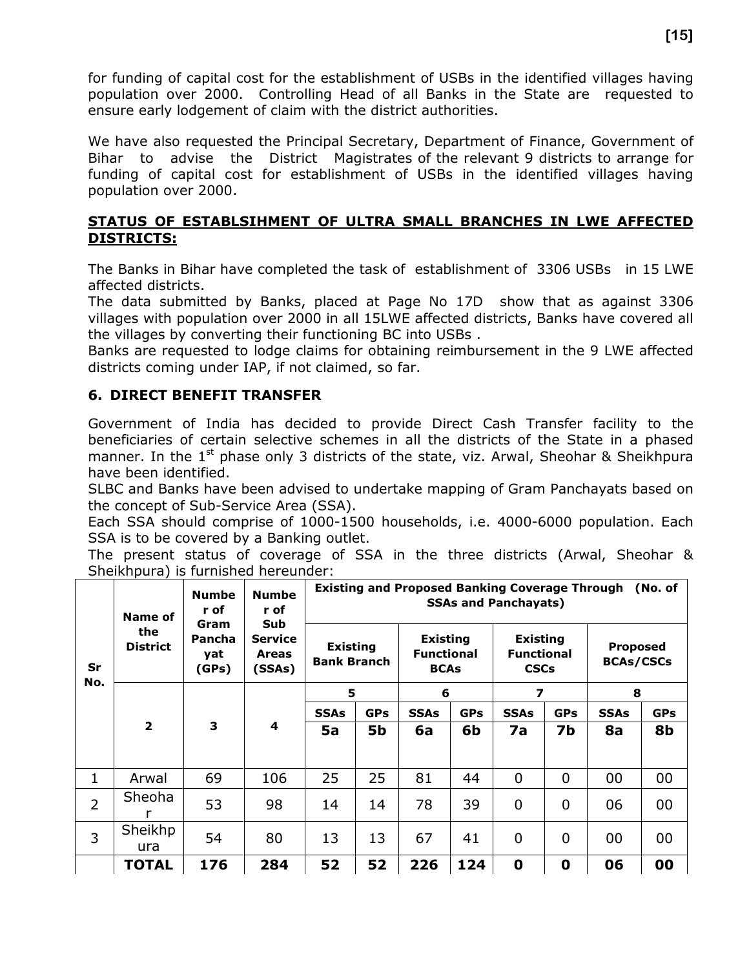for funding of capital cost for the establishment of USBs in the identified villages having population over 2000. Controlling Head of all Banks in the State are requested to ensure early lodgement of claim with the district authorities.

We have also requested the Principal Secretary, Department of Finance, Government of Bihar to advise the District Magistrates of the relevant 9 districts to arrange for funding of capital cost for establishment of USBs in the identified villages having population over 2000.

#### STATUS OF ESTABLSIHMENT OF ULTRA SMALL BRANCHES IN LWE AFFECTED DISTRICTS:

The Banks in Bihar have completed the task of establishment of 3306 USBs in 15 LWE affected districts.

The data submitted by Banks, placed at Page No 17D show that as against 3306 villages with population over 2000 in all 15LWE affected districts, Banks have covered all the villages by converting their functioning BC into USBs .

Banks are requested to lodge claims for obtaining reimbursement in the 9 LWE affected districts coming under IAP, if not claimed, so far.

#### 6. DIRECT BENEFIT TRANSFER

Government of India has decided to provide Direct Cash Transfer facility to the beneficiaries of certain selective schemes in all the districts of the State in a phased manner. In the  $1^{st}$  phase only 3 districts of the state, viz. Arwal, Sheohar & Sheikhpura have been identified.

SLBC and Banks have been advised to undertake mapping of Gram Panchayats based on the concept of Sub-Service Area (SSA).

Each SSA should comprise of 1000-1500 households, i.e. 4000-6000 population. Each SSA is to be covered by a Banking outlet.

The present status of coverage of SSA in the three districts (Arwal, Sheohar & Sheikhpura) is furnished hereunder:

|                | Name of                | <b>Numbe</b><br>r of                  |                                                 | <b>Existing and Proposed Banking Coverage Through</b><br>(No. of<br><b>SSAs and Panchayats)</b> |            |                                                     |            |                                                     |                |                                     |            |
|----------------|------------------------|---------------------------------------|-------------------------------------------------|-------------------------------------------------------------------------------------------------|------------|-----------------------------------------------------|------------|-----------------------------------------------------|----------------|-------------------------------------|------------|
| Sr<br>No.      | the<br><b>District</b> | Gram<br><b>Pancha</b><br>yat<br>(GPs) | Sub<br><b>Service</b><br><b>Areas</b><br>(SSAs) | <b>Existing</b><br><b>Bank Branch</b>                                                           |            | <b>Existing</b><br><b>Functional</b><br><b>BCAs</b> |            | <b>Existing</b><br><b>Functional</b><br><b>CSCs</b> |                | <b>Proposed</b><br><b>BCAs/CSCs</b> |            |
|                |                        |                                       |                                                 | 5                                                                                               |            | 6                                                   |            | 7                                                   |                | 8                                   |            |
|                |                        |                                       |                                                 | <b>SSAs</b>                                                                                     | <b>GPs</b> | <b>SSAs</b>                                         | <b>GPs</b> | <b>SSAs</b>                                         | <b>GPs</b>     | <b>SSAs</b>                         | <b>GPs</b> |
|                | $\overline{2}$         | 3                                     | 4                                               | 5a                                                                                              | 5b         | 6a                                                  | 6b         | 7a                                                  | 7b             | 8a                                  | 8b         |
| 1              | Arwal                  | 69                                    | 106                                             | 25                                                                                              | 25         | 81                                                  | 44         | $\overline{0}$                                      | $\overline{0}$ | 00                                  | 00         |
| $\overline{2}$ | Sheoha                 | 53                                    | 98                                              | 14                                                                                              | 14         | 78                                                  | 39         | $\overline{0}$                                      | $\overline{0}$ | 06                                  | 00         |
| 3              | Sheikhp<br>ura         | 54                                    | 80                                              | 13                                                                                              | 13         | 67                                                  | 41         | $\overline{0}$                                      | $\overline{0}$ | 00                                  | 00         |
|                | <b>TOTAL</b>           | 176                                   | 284                                             | 52                                                                                              | 52         | 226                                                 | 124        | $\mathbf 0$                                         | 0              | 06                                  | 00         |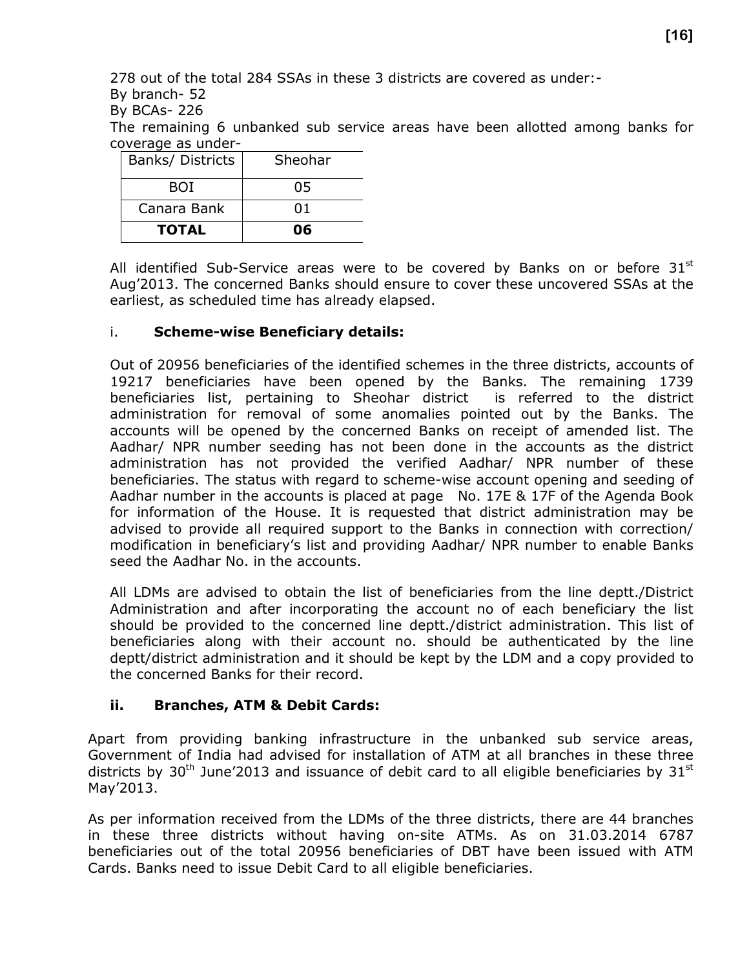278 out of the total 284 SSAs in these 3 districts are covered as under:-

By branch- 52

By BCAs- 226

The remaining 6 unbanked sub service areas have been allotted among banks for coverage as under-

| <b>TOTAL</b>     | 06      |
|------------------|---------|
| Canara Bank      | 01      |
| BOI              | 05      |
| Banks/ Districts | Sheohar |

All identified Sub-Service areas were to be covered by Banks on or before  $31<sup>st</sup>$ Aug'2013. The concerned Banks should ensure to cover these uncovered SSAs at the earliest, as scheduled time has already elapsed.

#### i. Scheme-wise Beneficiary details:

Out of 20956 beneficiaries of the identified schemes in the three districts, accounts of 19217 beneficiaries have been opened by the Banks. The remaining 1739 beneficiaries list, pertaining to Sheohar district is referred to the district administration for removal of some anomalies pointed out by the Banks. The accounts will be opened by the concerned Banks on receipt of amended list. The Aadhar/ NPR number seeding has not been done in the accounts as the district administration has not provided the verified Aadhar/ NPR number of these beneficiaries. The status with regard to scheme-wise account opening and seeding of Aadhar number in the accounts is placed at page No. 17E & 17F of the Agenda Book for information of the House. It is requested that district administration may be advised to provide all required support to the Banks in connection with correction/ modification in beneficiary's list and providing Aadhar/ NPR number to enable Banks seed the Aadhar No. in the accounts.

All LDMs are advised to obtain the list of beneficiaries from the line deptt./District Administration and after incorporating the account no of each beneficiary the list should be provided to the concerned line deptt./district administration. This list of beneficiaries along with their account no. should be authenticated by the line deptt/district administration and it should be kept by the LDM and a copy provided to the concerned Banks for their record.

#### ii. Branches, ATM & Debit Cards:

Apart from providing banking infrastructure in the unbanked sub service areas, Government of India had advised for installation of ATM at all branches in these three districts by 30<sup>th</sup> June'2013 and issuance of debit card to all eligible beneficiaries by 31<sup>st</sup> May'2013.

As per information received from the LDMs of the three districts, there are 44 branches in these three districts without having on-site ATMs. As on 31.03.2014 6787 beneficiaries out of the total 20956 beneficiaries of DBT have been issued with ATM Cards. Banks need to issue Debit Card to all eligible beneficiaries.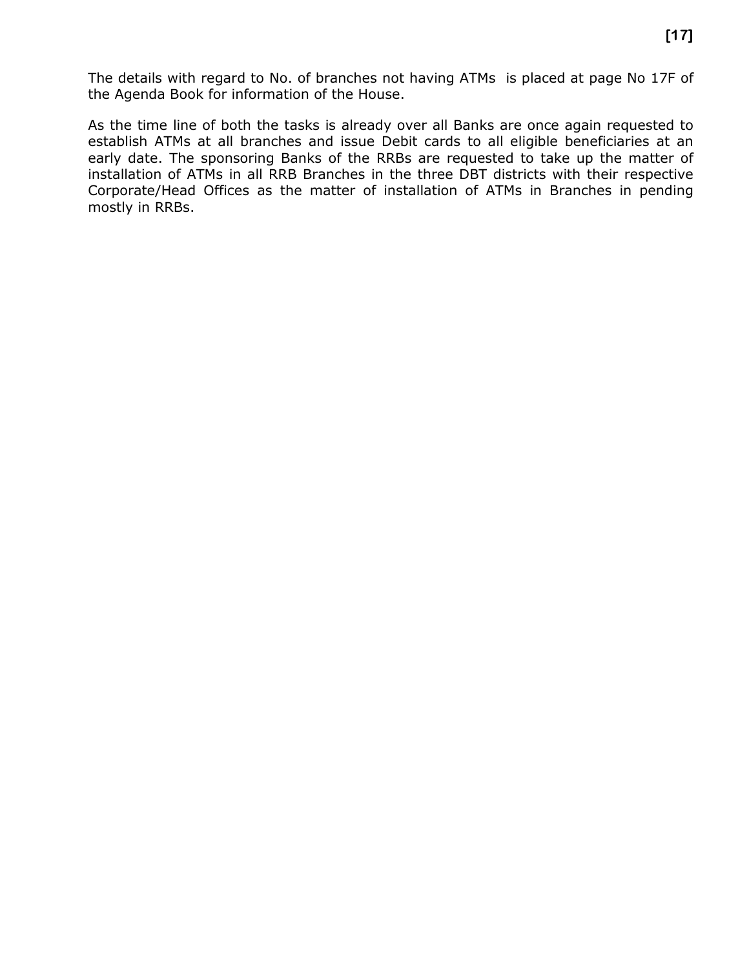The details with regard to No. of branches not having ATMs is placed at page No 17F of the Agenda Book for information of the House.

As the time line of both the tasks is already over all Banks are once again requested to establish ATMs at all branches and issue Debit cards to all eligible beneficiaries at an early date. The sponsoring Banks of the RRBs are requested to take up the matter of installation of ATMs in all RRB Branches in the three DBT districts with their respective Corporate/Head Offices as the matter of installation of ATMs in Branches in pending mostly in RRBs.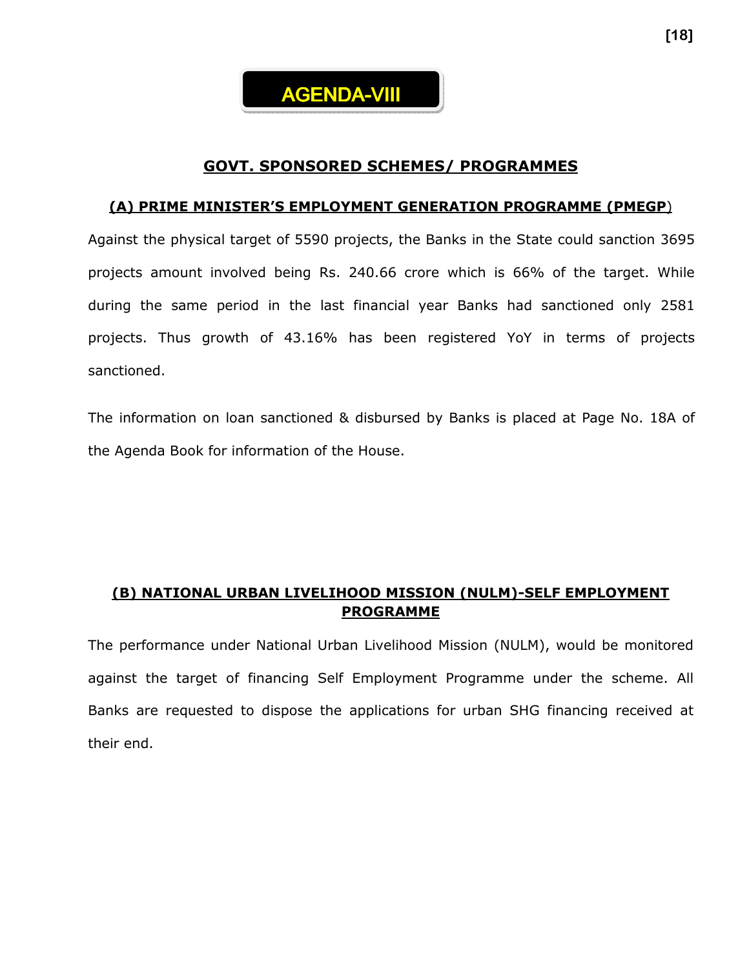

#### GOVT. SPONSORED SCHEMES/ PROGRAMMES

#### (A) PRIME MINISTER'S EMPLOYMENT GENERATION PROGRAMME (PMEGP)

Against the physical target of 5590 projects, the Banks in the State could sanction 3695 projects amount involved being Rs. 240.66 crore which is 66% of the target. While during the same period in the last financial year Banks had sanctioned only 2581 projects. Thus growth of 43.16% has been registered YoY in terms of projects sanctioned.

The information on loan sanctioned & disbursed by Banks is placed at Page No. 18A of the Agenda Book for information of the House.

#### (B) NATIONAL URBAN LIVELIHOOD MISSION (NULM)-SELF EMPLOYMENT PROGRAMME

The performance under National Urban Livelihood Mission (NULM), would be monitored against the target of financing Self Employment Programme under the scheme. All Banks are requested to dispose the applications for urban SHG financing received at their end.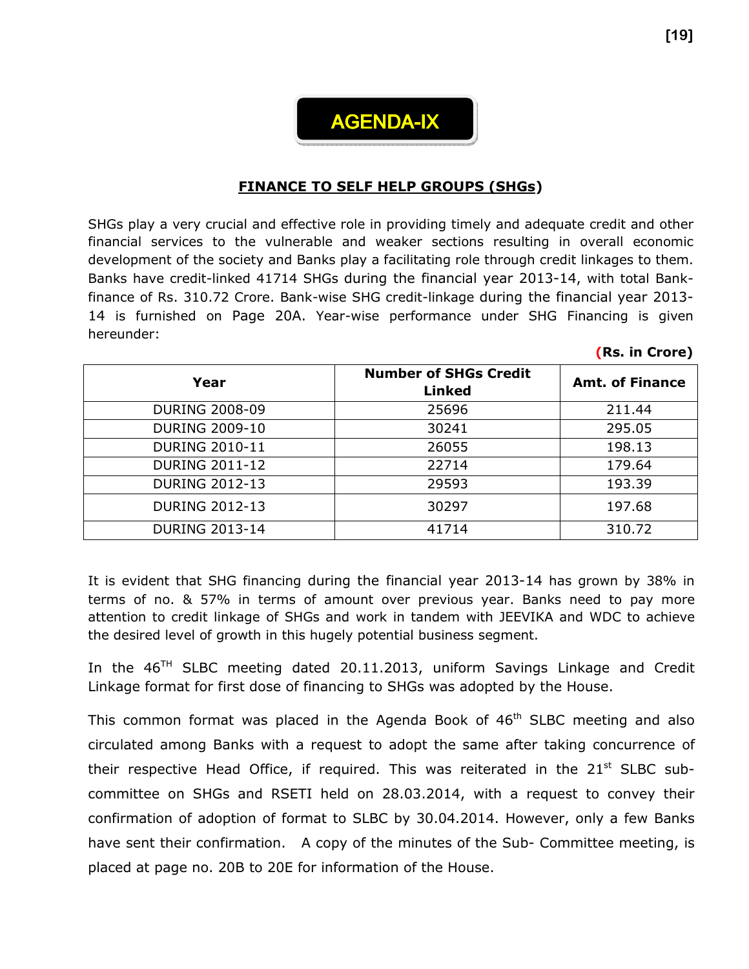

#### FINANCE TO SELF HELP GROUPS (SHGs)

SHGs play a very crucial and effective role in providing timely and adequate credit and other financial services to the vulnerable and weaker sections resulting in overall economic development of the society and Banks play a facilitating role through credit linkages to them. Banks have credit-linked 41714 SHGs during the financial year 2013-14, with total Bankfinance of Rs. 310.72 Crore. Bank-wise SHG credit-linkage during the financial year 2013- 14 is furnished on Page 20A. Year-wise performance under SHG Financing is given hereunder:

| Year                  | <b>Number of SHGs Credit</b><br><b>Linked</b> | <b>Amt. of Finance</b> |
|-----------------------|-----------------------------------------------|------------------------|
| <b>DURING 2008-09</b> | 25696                                         | 211.44                 |
| <b>DURING 2009-10</b> | 30241                                         | 295.05                 |
| <b>DURING 2010-11</b> | 26055                                         | 198.13                 |
| <b>DURING 2011-12</b> | 22714                                         | 179.64                 |
| <b>DURING 2012-13</b> | 29593                                         | 193.39                 |
| <b>DURING 2012-13</b> | 30297                                         | 197.68                 |
| <b>DURING 2013-14</b> | 41714                                         | 310.72                 |

It is evident that SHG financing during the financial year 2013-14 has grown by 38% in terms of no. & 57% in terms of amount over previous year. Banks need to pay more attention to credit linkage of SHGs and work in tandem with JEEVIKA and WDC to achieve the desired level of growth in this hugely potential business segment.

In the  $46<sup>TH</sup>$  SLBC meeting dated 20.11.2013, uniform Savings Linkage and Credit Linkage format for first dose of financing to SHGs was adopted by the House.

This common format was placed in the Agenda Book of  $46<sup>th</sup>$  SLBC meeting and also circulated among Banks with a request to adopt the same after taking concurrence of their respective Head Office, if required. This was reiterated in the  $21<sup>st</sup>$  SLBC subcommittee on SHGs and RSETI held on 28.03.2014, with a request to convey their confirmation of adoption of format to SLBC by 30.04.2014. However, only a few Banks have sent their confirmation. A copy of the minutes of the Sub- Committee meeting, is placed at page no. 20B to 20E for information of the House.

(Rs. in Crore)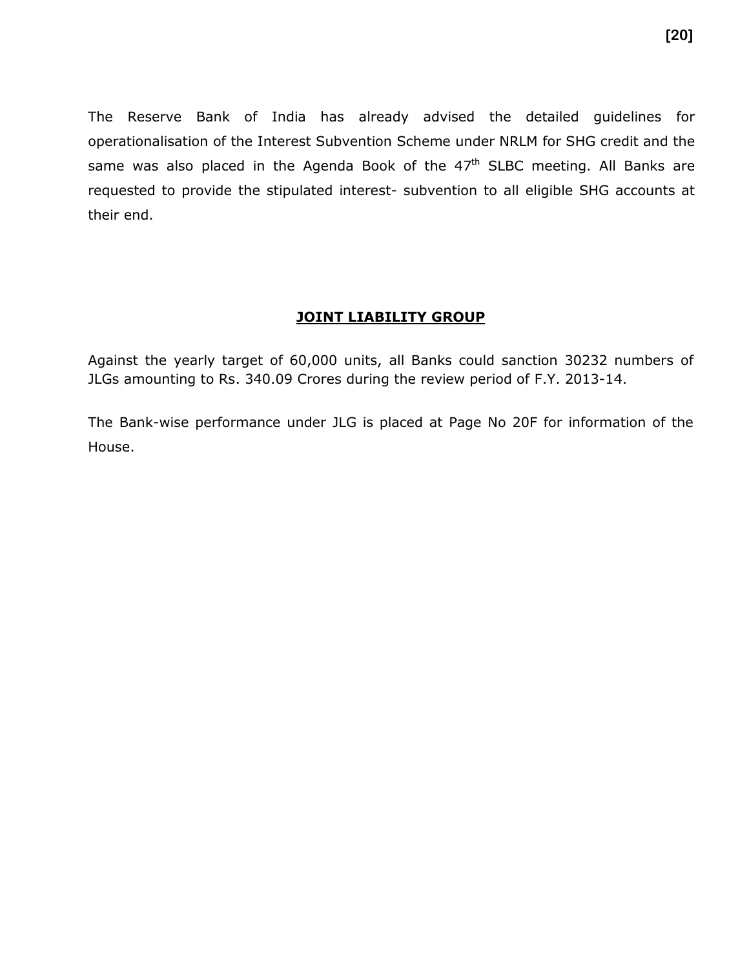The Reserve Bank of India has already advised the detailed guidelines for operationalisation of the Interest Subvention Scheme under NRLM for SHG credit and the same was also placed in the Agenda Book of the  $47<sup>th</sup>$  SLBC meeting. All Banks are requested to provide the stipulated interest- subvention to all eligible SHG accounts at their end.

#### **JOINT LIABILITY GROUP**

Against the yearly target of 60,000 units, all Banks could sanction 30232 numbers of JLGs amounting to Rs. 340.09 Crores during the review period of F.Y. 2013-14.

The Bank-wise performance under JLG is placed at Page No 20F for information of the House.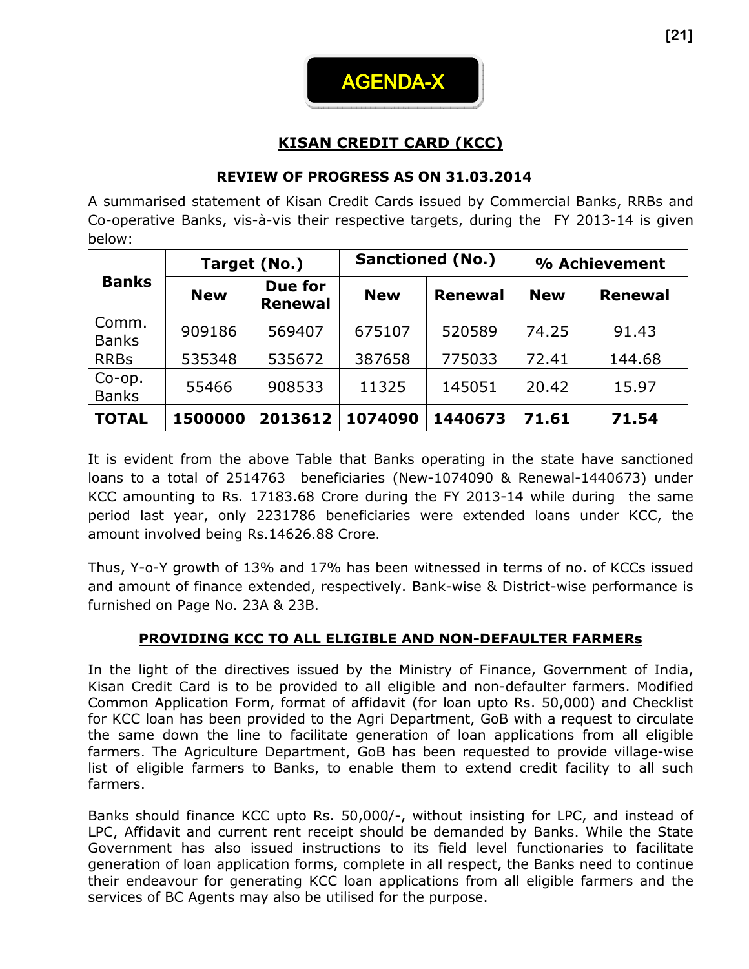

# KISAN CREDIT CARD (KCC)

#### REVIEW OF PROGRESS AS ON 31.03.2014

A summarised statement of Kisan Credit Cards issued by Commercial Banks, RRBs and Co-operative Banks, vis-à-vis their respective targets, during the FY 2013-14 is given below:

|                       |            | Target (No.)              | <b>Sanctioned (No.)</b> |                | % Achievement |                |  |
|-----------------------|------------|---------------------------|-------------------------|----------------|---------------|----------------|--|
| <b>Banks</b>          | <b>New</b> | Due for<br><b>Renewal</b> | <b>New</b>              | <b>Renewal</b> | <b>New</b>    | <b>Renewal</b> |  |
| Comm.<br><b>Banks</b> | 909186     | 569407                    | 675107                  | 520589         | 74.25         | 91.43          |  |
| <b>RRBs</b>           | 535348     | 535672                    | 387658                  | 775033         | 72.41         | 144.68         |  |
| Co-op.<br>Banks       | 55466      | 908533                    | 11325                   | 145051         | 20.42         | 15.97          |  |
| <b>TOTAL</b>          | 1500000    | 2013612                   | 1074090                 | 1440673        | 71.61         | 71.54          |  |

It is evident from the above Table that Banks operating in the state have sanctioned loans to a total of 2514763 beneficiaries (New-1074090 & Renewal-1440673) under KCC amounting to Rs. 17183.68 Crore during the FY 2013-14 while during the same period last year, only 2231786 beneficiaries were extended loans under KCC, the amount involved being Rs.14626.88 Crore.

Thus, Y-o-Y growth of 13% and 17% has been witnessed in terms of no. of KCCs issued and amount of finance extended, respectively. Bank-wise & District-wise performance is furnished on Page No. 23A & 23B.

#### PROVIDING KCC TO ALL ELIGIBLE AND NON-DEFAULTER FARMERs

In the light of the directives issued by the Ministry of Finance, Government of India, Kisan Credit Card is to be provided to all eligible and non-defaulter farmers. Modified Common Application Form, format of affidavit (for loan upto Rs. 50,000) and Checklist for KCC loan has been provided to the Agri Department, GoB with a request to circulate the same down the line to facilitate generation of loan applications from all eligible farmers. The Agriculture Department, GoB has been requested to provide village-wise list of eligible farmers to Banks, to enable them to extend credit facility to all such farmers.

Banks should finance KCC upto Rs. 50,000/-, without insisting for LPC, and instead of LPC, Affidavit and current rent receipt should be demanded by Banks. While the State Government has also issued instructions to its field level functionaries to facilitate generation of loan application forms, complete in all respect, the Banks need to continue their endeavour for generating KCC loan applications from all eligible farmers and the services of BC Agents may also be utilised for the purpose.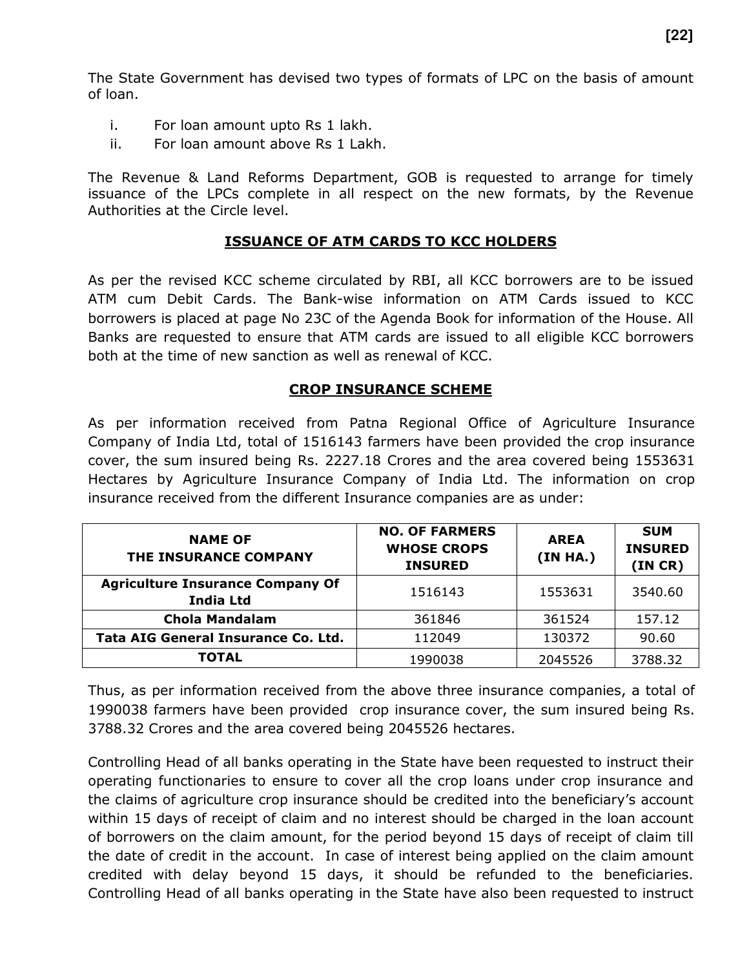The State Government has devised two types of formats of LPC on the basis of amount of loan.

- i. For loan amount upto Rs 1 lakh.
- ii. For loan amount above Rs 1 Lakh.

The Revenue & Land Reforms Department, GOB is requested to arrange for timely issuance of the LPCs complete in all respect on the new formats, by the Revenue Authorities at the Circle level.

#### ISSUANCE OF ATM CARDS TO KCC HOLDERS

As per the revised KCC scheme circulated by RBI, all KCC borrowers are to be issued ATM cum Debit Cards. The Bank-wise information on ATM Cards issued to KCC borrowers is placed at page No 23C of the Agenda Book for information of the House. All Banks are requested to ensure that ATM cards are issued to all eligible KCC borrowers both at the time of new sanction as well as renewal of KCC.

#### CROP INSURANCE SCHEME

As per information received from Patna Regional Office of Agriculture Insurance Company of India Ltd, total of 1516143 farmers have been provided the crop insurance cover, the sum insured being Rs. 2227.18 Crores and the area covered being 1553631 Hectares by Agriculture Insurance Company of India Ltd. The information on crop insurance received from the different Insurance companies are as under:

| <b>NAME OF</b><br>THE INSURANCE COMPANY                     | <b>NO. OF FARMERS</b><br><b>WHOSE CROPS</b><br><b>INSURED</b> | <b>AREA</b><br>(IN HA.) | <b>SUM</b><br><b>INSURED</b><br>(IN CR) |  |
|-------------------------------------------------------------|---------------------------------------------------------------|-------------------------|-----------------------------------------|--|
| <b>Agriculture Insurance Company Of</b><br><b>India Ltd</b> | 1516143                                                       | 1553631                 | 3540.60                                 |  |
| <b>Chola Mandalam</b>                                       | 361846                                                        | 361524                  | 157.12                                  |  |
| Tata AIG General Insurance Co. Ltd.                         | 112049                                                        | 130372                  | 90.60                                   |  |
| TOTAL                                                       | 1990038                                                       | 2045526                 | 3788.32                                 |  |

Thus, as per information received from the above three insurance companies, a total of 1990038 farmers have been provided crop insurance cover, the sum insured being Rs. 3788.32 Crores and the area covered being 2045526 hectares.

Controlling Head of all banks operating in the State have been requested to instruct their operating functionaries to ensure to cover all the crop loans under crop insurance and the claims of agriculture crop insurance should be credited into the beneficiary's account within 15 days of receipt of claim and no interest should be charged in the loan account of borrowers on the claim amount, for the period beyond 15 days of receipt of claim till the date of credit in the account. In case of interest being applied on the claim amount credited with delay beyond 15 days, it should be refunded to the beneficiaries. Controlling Head of all banks operating in the State have also been requested to instruct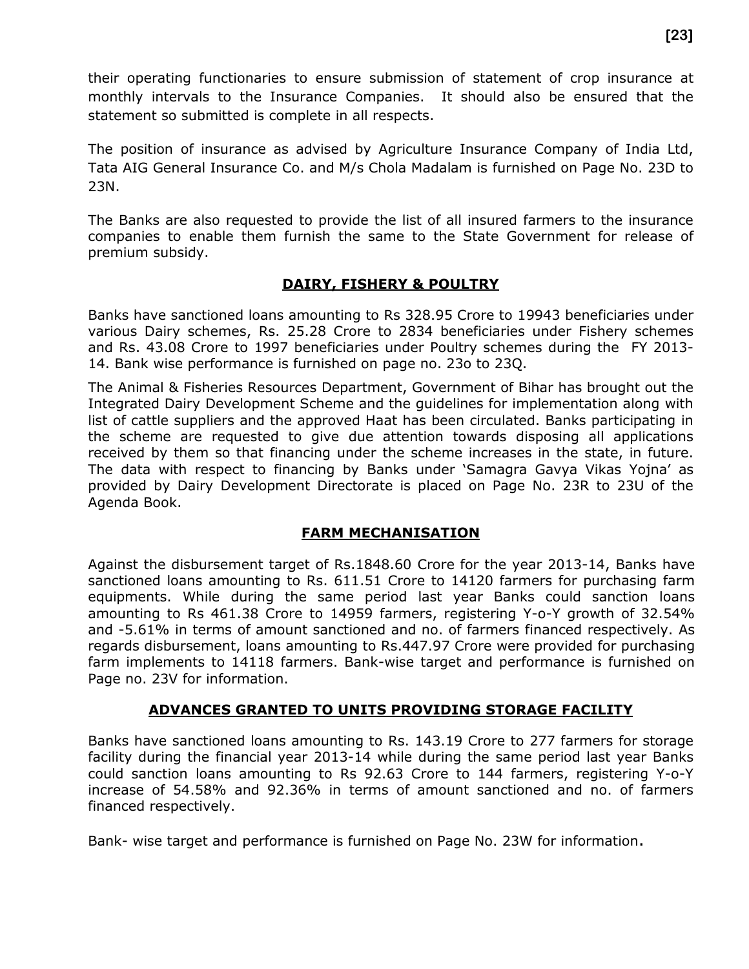their operating functionaries to ensure submission of statement of crop insurance at monthly intervals to the Insurance Companies. It should also be ensured that the statement so submitted is complete in all respects.

The position of insurance as advised by Agriculture Insurance Company of India Ltd, Tata AIG General Insurance Co. and M/s Chola Madalam is furnished on Page No. 23D to 23N.

The Banks are also requested to provide the list of all insured farmers to the insurance companies to enable them furnish the same to the State Government for release of premium subsidy.

#### DAIRY, FISHERY & POULTRY

Banks have sanctioned loans amounting to Rs 328.95 Crore to 19943 beneficiaries under various Dairy schemes, Rs. 25.28 Crore to 2834 beneficiaries under Fishery schemes and Rs. 43.08 Crore to 1997 beneficiaries under Poultry schemes during the FY 2013- 14. Bank wise performance is furnished on page no. 23o to 23Q.

The Animal & Fisheries Resources Department, Government of Bihar has brought out the Integrated Dairy Development Scheme and the guidelines for implementation along with list of cattle suppliers and the approved Haat has been circulated. Banks participating in the scheme are requested to give due attention towards disposing all applications received by them so that financing under the scheme increases in the state, in future. The data with respect to financing by Banks under 'Samagra Gavya Vikas Yojna' as provided by Dairy Development Directorate is placed on Page No. 23R to 23U of the Agenda Book.

#### FARM MECHANISATION

Against the disbursement target of Rs.1848.60 Crore for the year 2013-14, Banks have sanctioned loans amounting to Rs. 611.51 Crore to 14120 farmers for purchasing farm equipments. While during the same period last year Banks could sanction loans amounting to Rs 461.38 Crore to 14959 farmers, registering Y-o-Y growth of 32.54% and -5.61% in terms of amount sanctioned and no. of farmers financed respectively. As regards disbursement, loans amounting to Rs.447.97 Crore were provided for purchasing farm implements to 14118 farmers. Bank-wise target and performance is furnished on Page no. 23V for information.

#### ADVANCES GRANTED TO UNITS PROVIDING STORAGE FACILITY

Banks have sanctioned loans amounting to Rs. 143.19 Crore to 277 farmers for storage facility during the financial year 2013-14 while during the same period last year Banks could sanction loans amounting to Rs 92.63 Crore to 144 farmers, registering Y-o-Y increase of 54.58% and 92.36% in terms of amount sanctioned and no. of farmers financed respectively.

Bank- wise target and performance is furnished on Page No. 23W for information.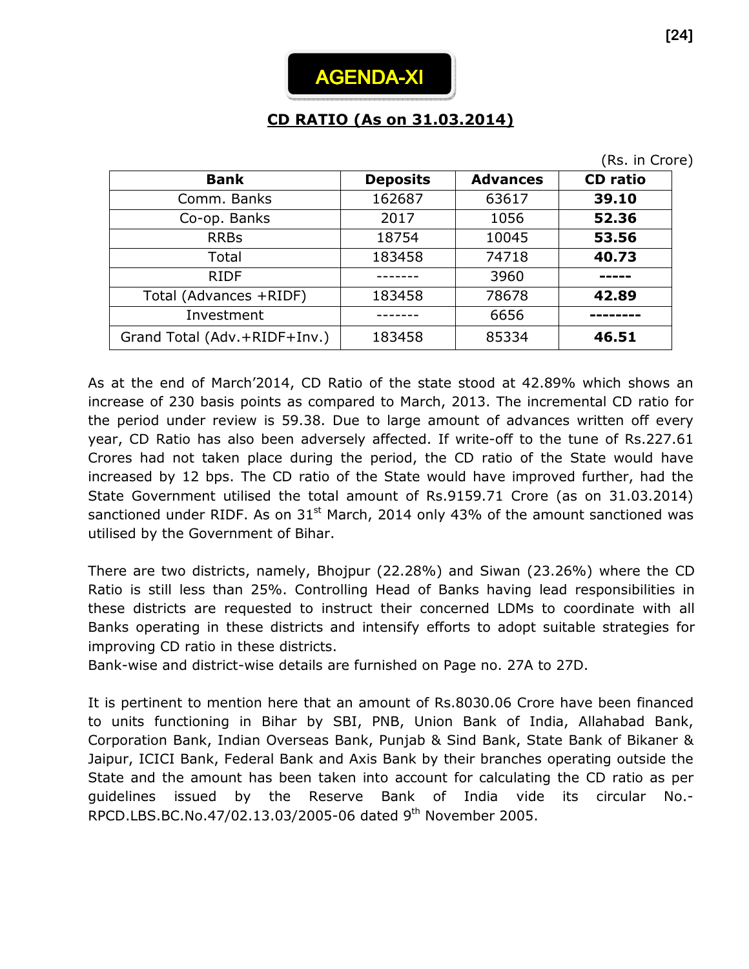

# CD RATIO (As on 31.03.2014)

|                              |                 |                 | (Rs. in Crore)  |
|------------------------------|-----------------|-----------------|-----------------|
| <b>Bank</b>                  | <b>Deposits</b> | <b>Advances</b> | <b>CD</b> ratio |
| Comm. Banks                  | 162687          | 63617           | 39.10           |
| Co-op. Banks                 | 2017            | 1056            | 52.36           |
| <b>RRBs</b>                  | 18754           | 10045           | 53.56           |
| Total                        | 183458          | 74718           | 40.73           |
| <b>RIDF</b>                  |                 | 3960            |                 |
| Total (Advances +RIDF)       | 183458          | 78678           | 42.89           |
| Investment                   |                 | 6656            |                 |
| Grand Total (Adv.+RIDF+Inv.) | 183458          | 85334           | 46.51           |

As at the end of March'2014, CD Ratio of the state stood at 42.89% which shows an increase of 230 basis points as compared to March, 2013. The incremental CD ratio for the period under review is 59.38. Due to large amount of advances written off every year, CD Ratio has also been adversely affected. If write-off to the tune of Rs.227.61 Crores had not taken place during the period, the CD ratio of the State would have increased by 12 bps. The CD ratio of the State would have improved further, had the State Government utilised the total amount of Rs.9159.71 Crore (as on 31.03.2014) sanctioned under RIDF. As on  $31<sup>st</sup>$  March, 2014 only 43% of the amount sanctioned was utilised by the Government of Bihar.

There are two districts, namely, Bhojpur (22.28%) and Siwan (23.26%) where the CD Ratio is still less than 25%. Controlling Head of Banks having lead responsibilities in these districts are requested to instruct their concerned LDMs to coordinate with all Banks operating in these districts and intensify efforts to adopt suitable strategies for improving CD ratio in these districts.

Bank-wise and district-wise details are furnished on Page no. 27A to 27D.

It is pertinent to mention here that an amount of Rs.8030.06 Crore have been financed to units functioning in Bihar by SBI, PNB, Union Bank of India, Allahabad Bank, Corporation Bank, Indian Overseas Bank, Punjab & Sind Bank, State Bank of Bikaner & Jaipur, ICICI Bank, Federal Bank and Axis Bank by their branches operating outside the State and the amount has been taken into account for calculating the CD ratio as per guidelines issued by the Reserve Bank of India vide its circular No.- RPCD.LBS.BC.No.47/02.13.03/2005-06 dated 9th November 2005.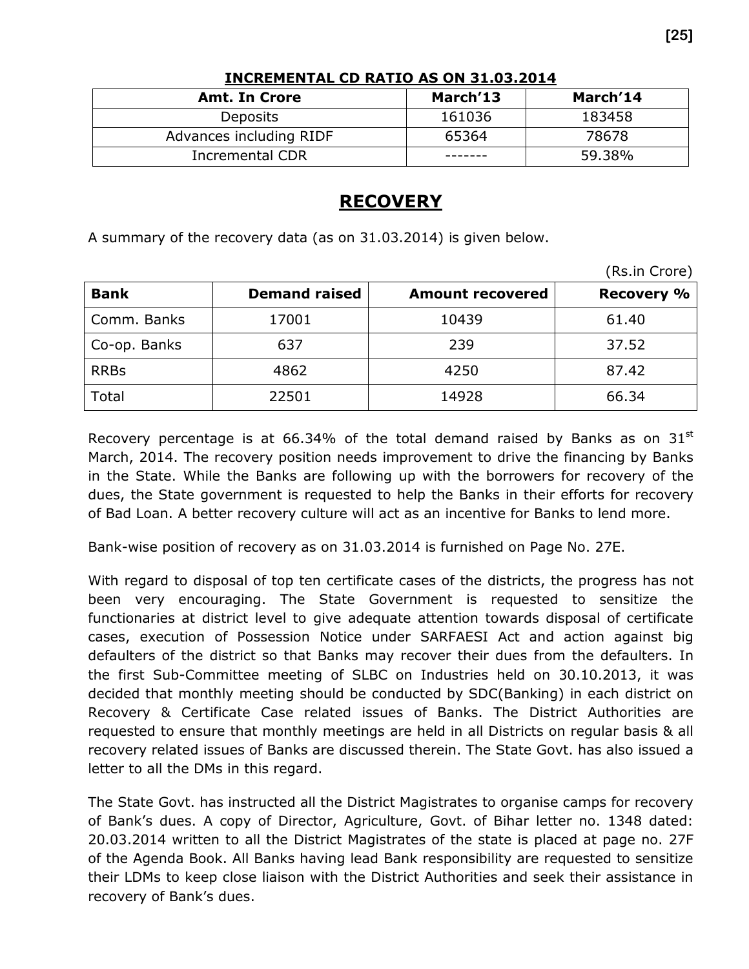| <b>Amt. In Crore</b>    | March'13 | March'14 |
|-------------------------|----------|----------|
| <b>Deposits</b>         | 161036   | 183458   |
| Advances including RIDF | 65364    | 78678    |
| <b>Incremental CDR</b>  |          | 59.38%   |

#### INCREMENTAL CD RATIO AS ON 31.03.2014

# **RECOVERY**

A summary of the recovery data (as on 31.03.2014) is given below.

|              |                      |                         | (Rs.in Crore)     |
|--------------|----------------------|-------------------------|-------------------|
| <b>Bank</b>  | <b>Demand raised</b> | <b>Amount recovered</b> | <b>Recovery %</b> |
| Comm. Banks  | 17001                | 10439                   | 61.40             |
| Co-op. Banks | 637                  | 239                     | 37.52             |
| <b>RRBs</b>  | 4862                 | 4250                    | 87.42             |
| Total        | 22501                | 14928                   | 66.34             |

Recovery percentage is at 66.34% of the total demand raised by Banks as on  $31<sup>st</sup>$ March, 2014. The recovery position needs improvement to drive the financing by Banks in the State. While the Banks are following up with the borrowers for recovery of the dues, the State government is requested to help the Banks in their efforts for recovery of Bad Loan. A better recovery culture will act as an incentive for Banks to lend more.

Bank-wise position of recovery as on 31.03.2014 is furnished on Page No. 27E.

With regard to disposal of top ten certificate cases of the districts, the progress has not been very encouraging. The State Government is requested to sensitize the functionaries at district level to give adequate attention towards disposal of certificate cases, execution of Possession Notice under SARFAESI Act and action against big defaulters of the district so that Banks may recover their dues from the defaulters. In the first Sub-Committee meeting of SLBC on Industries held on 30.10.2013, it was decided that monthly meeting should be conducted by SDC(Banking) in each district on Recovery & Certificate Case related issues of Banks. The District Authorities are requested to ensure that monthly meetings are held in all Districts on regular basis & all recovery related issues of Banks are discussed therein. The State Govt. has also issued a letter to all the DMs in this regard.

The State Govt. has instructed all the District Magistrates to organise camps for recovery of Bank's dues. A copy of Director, Agriculture, Govt. of Bihar letter no. 1348 dated: 20.03.2014 written to all the District Magistrates of the state is placed at page no. 27F of the Agenda Book. All Banks having lead Bank responsibility are requested to sensitize their LDMs to keep close liaison with the District Authorities and seek their assistance in recovery of Bank's dues.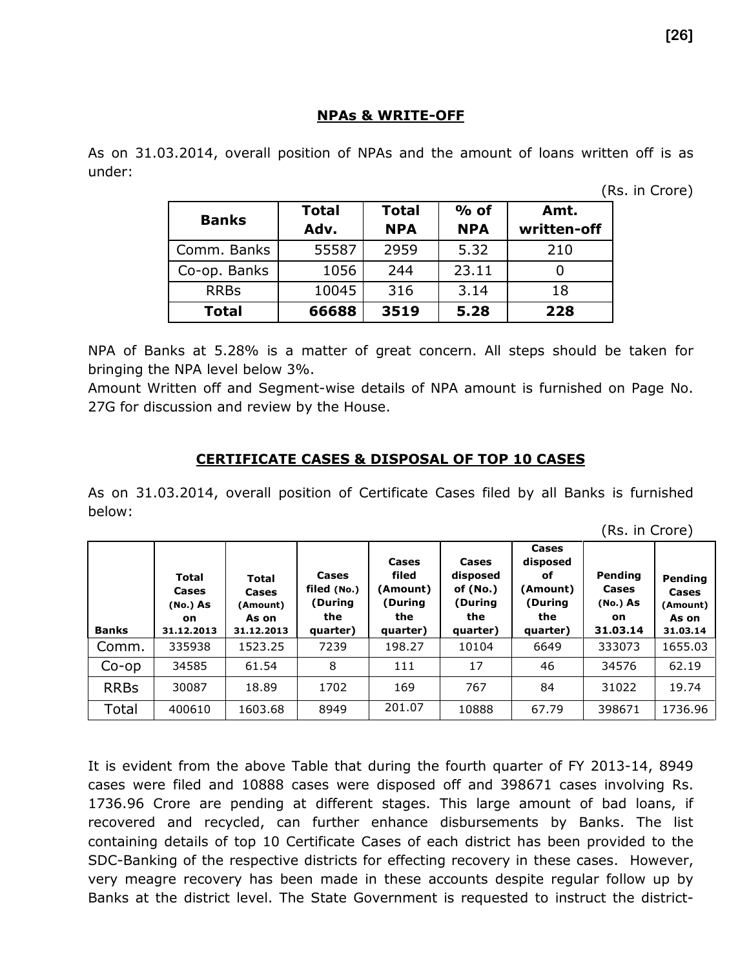#### NPAs & WRITE-OFF

As on 31.03.2014, overall position of NPAs and the amount of loans written off is as under:

(Rs. in Crore)

|              | <b>Total</b> | <b>Total</b> | $%$ of     | Amt.        |
|--------------|--------------|--------------|------------|-------------|
| <b>Banks</b> | Adv.         | <b>NPA</b>   | <b>NPA</b> | written-off |
| Comm. Banks  | 55587        | 2959         | 5.32       | 210         |
| Co-op. Banks | 1056         | 244          | 23.11      |             |
| <b>RRBs</b>  | 10045        | 316          | 3.14       | 18          |
| <b>Total</b> | 66688        | 3519         | 5.28       | 228         |

NPA of Banks at 5.28% is a matter of great concern. All steps should be taken for bringing the NPA level below 3%.

Amount Written off and Segment-wise details of NPA amount is furnished on Page No. 27G for discussion and review by the House.

#### CERTIFICATE CASES & DISPOSAL OF TOP 10 CASES

As on 31.03.2014, overall position of Certificate Cases filed by all Banks is furnished below:

| <b>Banks</b> | <b>Total</b><br>Cases<br>(No.) As<br>on.<br>31.12.2013 | Total<br>Cases<br>(Amount)<br>As on<br>31.12.2013 | Cases<br>filed (No.)<br>(During<br>the<br>quarter) | Cases<br>filed<br>(Amount)<br>(During<br>the<br>quarter) | Cases<br>disposed<br>of (No.)<br>(During<br>the<br>quarter) | Cases<br>disposed<br>оf<br>(Amount)<br>(During<br>the<br>quarter) | Pending<br>Cases<br>(No.) As<br>on<br>31.03.14 | Pending<br>Cases<br>(Amount)<br>As on<br>31.03.14 |
|--------------|--------------------------------------------------------|---------------------------------------------------|----------------------------------------------------|----------------------------------------------------------|-------------------------------------------------------------|-------------------------------------------------------------------|------------------------------------------------|---------------------------------------------------|
| Comm.        | 335938                                                 | 1523.25                                           | 7239                                               | 198.27                                                   | 10104                                                       | 6649                                                              | 333073                                         | 1655.03                                           |
| $Co$ -op     | 34585                                                  | 61.54                                             | 8                                                  | 111                                                      | 17                                                          | 46                                                                | 34576                                          | 62.19                                             |
| <b>RRBs</b>  | 30087                                                  | 18.89                                             | 1702                                               | 169                                                      | 767                                                         | 84                                                                | 31022                                          | 19.74                                             |
| Total        | 400610                                                 | 1603.68                                           | 8949                                               | 201.07                                                   | 10888                                                       | 67.79                                                             | 398671                                         | 1736.96                                           |

It is evident from the above Table that during the fourth quarter of FY 2013-14, 8949 cases were filed and 10888 cases were disposed off and 398671 cases involving Rs. 1736.96 Crore are pending at different stages. This large amount of bad loans, if recovered and recycled, can further enhance disbursements by Banks. The list containing details of top 10 Certificate Cases of each district has been provided to the SDC-Banking of the respective districts for effecting recovery in these cases. However, very meagre recovery has been made in these accounts despite regular follow up by Banks at the district level. The State Government is requested to instruct the district-

(Rs. in Crore)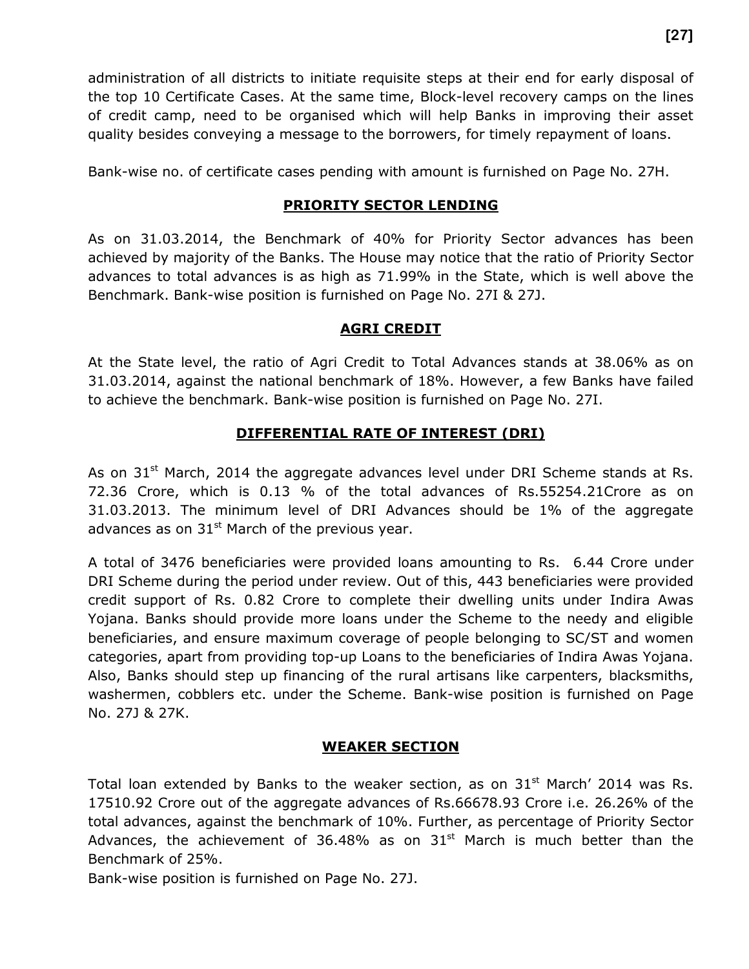administration of all districts to initiate requisite steps at their end for early disposal of the top 10 Certificate Cases. At the same time, Block-level recovery camps on the lines of credit camp, need to be organised which will help Banks in improving their asset quality besides conveying a message to the borrowers, for timely repayment of loans.

Bank-wise no. of certificate cases pending with amount is furnished on Page No. 27H.

#### PRIORITY SECTOR LENDING

As on 31.03.2014, the Benchmark of 40% for Priority Sector advances has been achieved by majority of the Banks. The House may notice that the ratio of Priority Sector advances to total advances is as high as 71.99% in the State, which is well above the Benchmark. Bank-wise position is furnished on Page No. 27I & 27J.

#### AGRI CREDIT

At the State level, the ratio of Agri Credit to Total Advances stands at 38.06% as on 31.03.2014, against the national benchmark of 18%. However, a few Banks have failed to achieve the benchmark. Bank-wise position is furnished on Page No. 27I.

#### DIFFERENTIAL RATE OF INTEREST (DRI)

As on  $31<sup>st</sup>$  March, 2014 the aggregate advances level under DRI Scheme stands at Rs. 72.36 Crore, which is 0.13 % of the total advances of Rs.55254.21Crore as on 31.03.2013. The minimum level of DRI Advances should be 1% of the aggregate advances as on  $31<sup>st</sup>$  March of the previous year.

A total of 3476 beneficiaries were provided loans amounting to Rs. 6.44 Crore under DRI Scheme during the period under review. Out of this, 443 beneficiaries were provided credit support of Rs. 0.82 Crore to complete their dwelling units under Indira Awas Yojana. Banks should provide more loans under the Scheme to the needy and eligible beneficiaries, and ensure maximum coverage of people belonging to SC/ST and women categories, apart from providing top-up Loans to the beneficiaries of Indira Awas Yojana. Also, Banks should step up financing of the rural artisans like carpenters, blacksmiths, washermen, cobblers etc. under the Scheme. Bank-wise position is furnished on Page No. 27J & 27K.

#### WEAKER SECTION

Total loan extended by Banks to the weaker section, as on  $31<sup>st</sup>$  March' 2014 was Rs. 17510.92 Crore out of the aggregate advances of Rs.66678.93 Crore i.e. 26.26% of the total advances, against the benchmark of 10%. Further, as percentage of Priority Sector Advances, the achievement of 36.48% as on  $31<sup>st</sup>$  March is much better than the Benchmark of 25%.

Bank-wise position is furnished on Page No. 27J.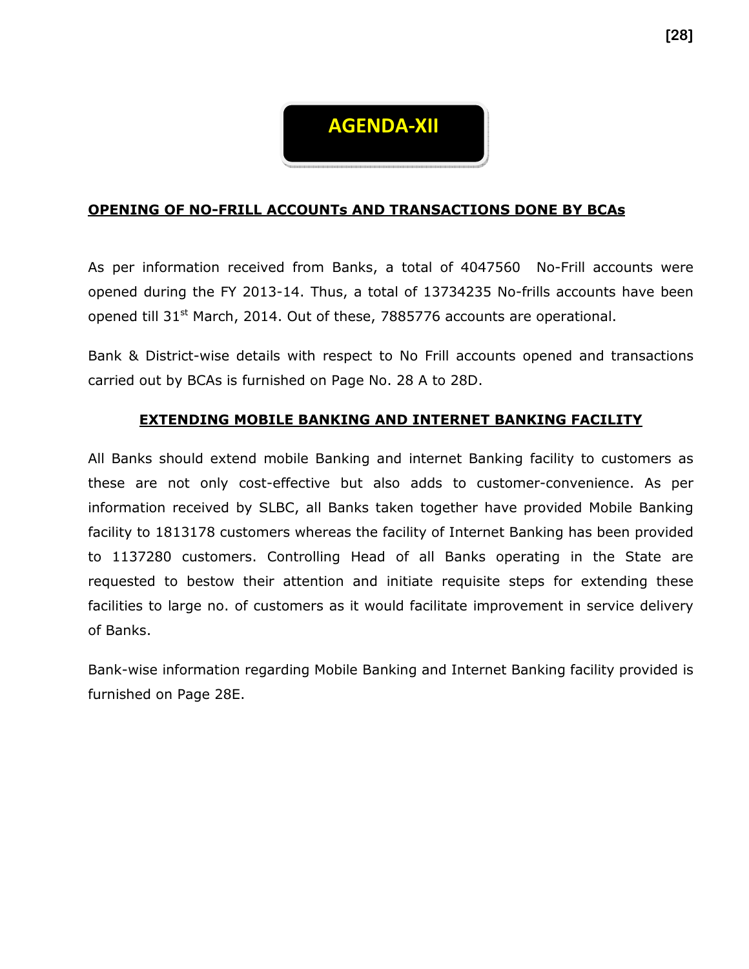

#### OPENING OF NO-FRILL ACCOUNTs AND TRANSACTIONS DONE BY BCAs

As per information received from Banks, a total of 4047560 No-Frill accounts were opened during the FY 2013-14. Thus, a total of 13734235 No-frills accounts have been opened till 31<sup>st</sup> March, 2014. Out of these, 7885776 accounts are operational.

Bank & District-wise details with respect to No Frill accounts opened and transactions carried out by BCAs is furnished on Page No. 28 A to 28D.

#### EXTENDING MOBILE BANKING AND INTERNET BANKING FACILITY

All Banks should extend mobile Banking and internet Banking facility to customers as these are not only cost-effective but also adds to customer-convenience. As per information received by SLBC, all Banks taken together have provided Mobile Banking facility to 1813178 customers whereas the facility of Internet Banking has been provided to 1137280 customers. Controlling Head of all Banks operating in the State are requested to bestow their attention and initiate requisite steps for extending these facilities to large no. of customers as it would facilitate improvement in service delivery of Banks.

Bank-wise information regarding Mobile Banking and Internet Banking facility provided is furnished on Page 28E.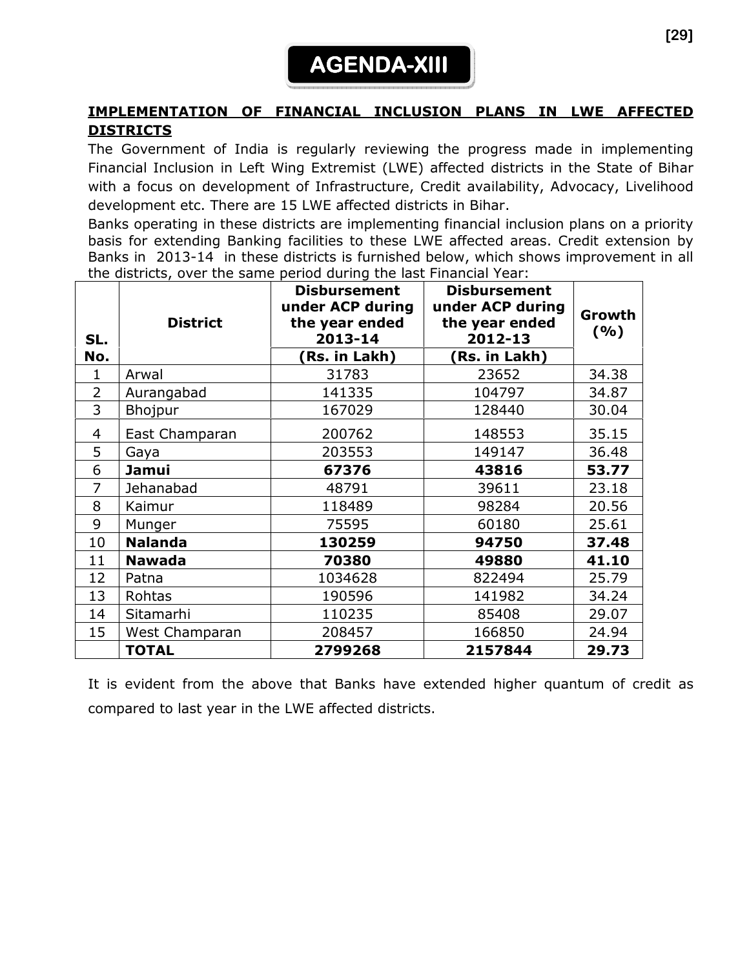

#### IMPLEMENTATION OF FINANCIAL INCLUSION PLANS IN LWE AFFECTED DISTRICTS

The Government of India is regularly reviewing the progress made in implementing Financial Inclusion in Left Wing Extremist (LWE) affected districts in the State of Bihar with a focus on development of Infrastructure, Credit availability, Advocacy, Livelihood development etc. There are 15 LWE affected districts in Bihar.

Banks operating in these districts are implementing financial inclusion plans on a priority basis for extending Banking facilities to these LWE affected areas. Credit extension by Banks in 2013-14 in these districts is furnished below, which shows improvement in all the districts, over the same period during the last Financial Year:

| SL.<br>No.     | <b>District</b> | <b>Disbursement</b><br>under ACP during<br>the year ended<br>2013-14<br>(Rs. in Lakh) | <b>Disbursement</b><br>under ACP during<br>the year ended<br>2012-13<br>(Rs. in Lakh) | Growth<br>(%) |
|----------------|-----------------|---------------------------------------------------------------------------------------|---------------------------------------------------------------------------------------|---------------|
| $\mathbf{1}$   | Arwal           | 31783                                                                                 | 23652                                                                                 | 34.38         |
| $\overline{2}$ | Aurangabad      | 141335                                                                                | 104797                                                                                | 34.87         |
| 3              | Bhojpur         | 167029                                                                                | 128440                                                                                | 30.04         |
| 4              | East Champaran  | 200762                                                                                | 148553                                                                                | 35.15         |
| 5              | Gaya            | 203553                                                                                | 149147                                                                                | 36.48         |
| 6              | Jamui           | 67376                                                                                 | 43816                                                                                 | 53.77         |
| $\overline{7}$ | Jehanabad       | 48791                                                                                 | 39611                                                                                 | 23.18         |
| 8              | Kaimur          | 118489                                                                                | 98284                                                                                 | 20.56         |
| 9              | Munger          | 75595                                                                                 | 60180                                                                                 | 25.61         |
| 10             | <b>Nalanda</b>  | 130259                                                                                | 94750                                                                                 | 37.48         |
| 11             | <b>Nawada</b>   | 70380                                                                                 | 49880                                                                                 | 41.10         |
| 12             | Patna           | 1034628                                                                               | 822494                                                                                | 25.79         |
| 13             | Rohtas          | 190596                                                                                | 141982                                                                                | 34.24         |
| 14             | Sitamarhi       | 110235                                                                                | 85408                                                                                 | 29.07         |
| 15             | West Champaran  | 208457                                                                                | 166850                                                                                | 24.94         |
|                | <b>TOTAL</b>    | 2799268                                                                               | 2157844                                                                               | 29.73         |

It is evident from the above that Banks have extended higher quantum of credit as compared to last year in the LWE affected districts.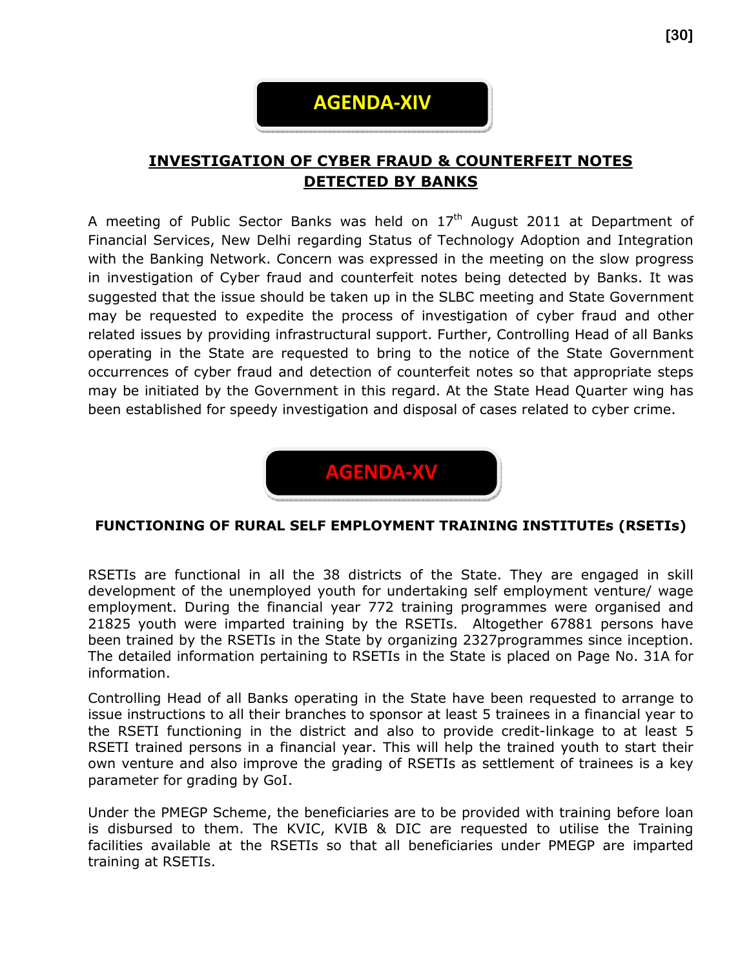

# INVESTIGATION OF CYBER FRAUD & COUNTERFEIT NOTES DETECTED BY BANKS

A meeting of Public Sector Banks was held on  $17<sup>th</sup>$  August 2011 at Department of Financial Services, New Delhi regarding Status of Technology Adoption and Integration with the Banking Network. Concern was expressed in the meeting on the slow progress in investigation of Cyber fraud and counterfeit notes being detected by Banks. It was suggested that the issue should be taken up in the SLBC meeting and State Government may be requested to expedite the process of investigation of cyber fraud and other related issues by providing infrastructural support. Further, Controlling Head of all Banks operating in the State are requested to bring to the notice of the State Government occurrences of cyber fraud and detection of counterfeit notes so that appropriate steps may be initiated by the Government in this regard. At the State Head Quarter wing has been established for speedy investigation and disposal of cases related to cyber crime.



#### FUNCTIONING OF RURAL SELF EMPLOYMENT TRAINING INSTITUTEs (RSETIs)

RSETIs are functional in all the 38 districts of the State. They are engaged in skill development of the unemployed youth for undertaking self employment venture/ wage employment. During the financial year 772 training programmes were organised and 21825 youth were imparted training by the RSETIs. Altogether 67881 persons have been trained by the RSETIs in the State by organizing 2327programmes since inception. The detailed information pertaining to RSETIs in the State is placed on Page No. 31A for information.

Controlling Head of all Banks operating in the State have been requested to arrange to issue instructions to all their branches to sponsor at least 5 trainees in a financial year to the RSETI functioning in the district and also to provide credit-linkage to at least 5 RSETI trained persons in a financial year. This will help the trained youth to start their own venture and also improve the grading of RSETIs as settlement of trainees is a key parameter for grading by GoI.

Under the PMEGP Scheme, the beneficiaries are to be provided with training before loan is disbursed to them. The KVIC, KVIB & DIC are requested to utilise the Training facilities available at the RSETIs so that all beneficiaries under PMEGP are imparted training at RSETIs.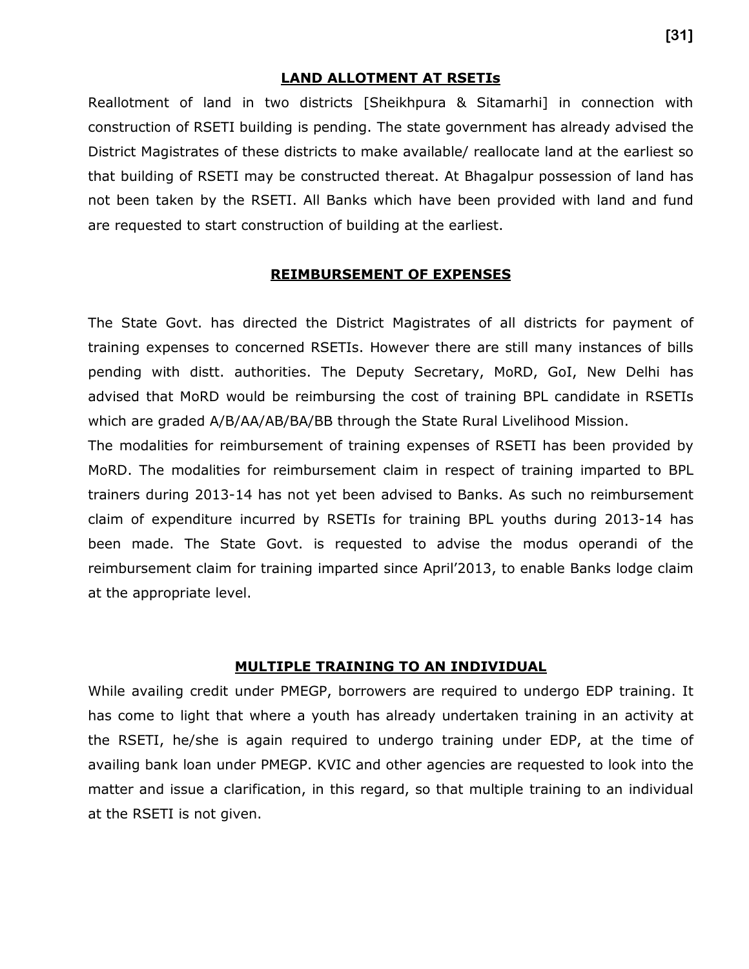#### LAND ALLOTMENT AT RSETIs

Reallotment of land in two districts [Sheikhpura & Sitamarhi] in connection with construction of RSETI building is pending. The state government has already advised the District Magistrates of these districts to make available/ reallocate land at the earliest so that building of RSETI may be constructed thereat. At Bhagalpur possession of land has not been taken by the RSETI. All Banks which have been provided with land and fund are requested to start construction of building at the earliest.

#### REIMBURSEMENT OF EXPENSES

The State Govt. has directed the District Magistrates of all districts for payment of training expenses to concerned RSETIs. However there are still many instances of bills pending with distt. authorities. The Deputy Secretary, MoRD, GoI, New Delhi has advised that MoRD would be reimbursing the cost of training BPL candidate in RSETIs which are graded A/B/AA/AB/BA/BB through the State Rural Livelihood Mission.

The modalities for reimbursement of training expenses of RSETI has been provided by MoRD. The modalities for reimbursement claim in respect of training imparted to BPL trainers during 2013-14 has not yet been advised to Banks. As such no reimbursement claim of expenditure incurred by RSETIs for training BPL youths during 2013-14 has been made. The State Govt. is requested to advise the modus operandi of the reimbursement claim for training imparted since April'2013, to enable Banks lodge claim at the appropriate level.

#### MULTIPLE TRAINING TO AN INDIVIDUAL

While availing credit under PMEGP, borrowers are required to undergo EDP training. It has come to light that where a youth has already undertaken training in an activity at the RSETI, he/she is again required to undergo training under EDP, at the time of availing bank loan under PMEGP. KVIC and other agencies are requested to look into the matter and issue a clarification, in this regard, so that multiple training to an individual at the RSETI is not given.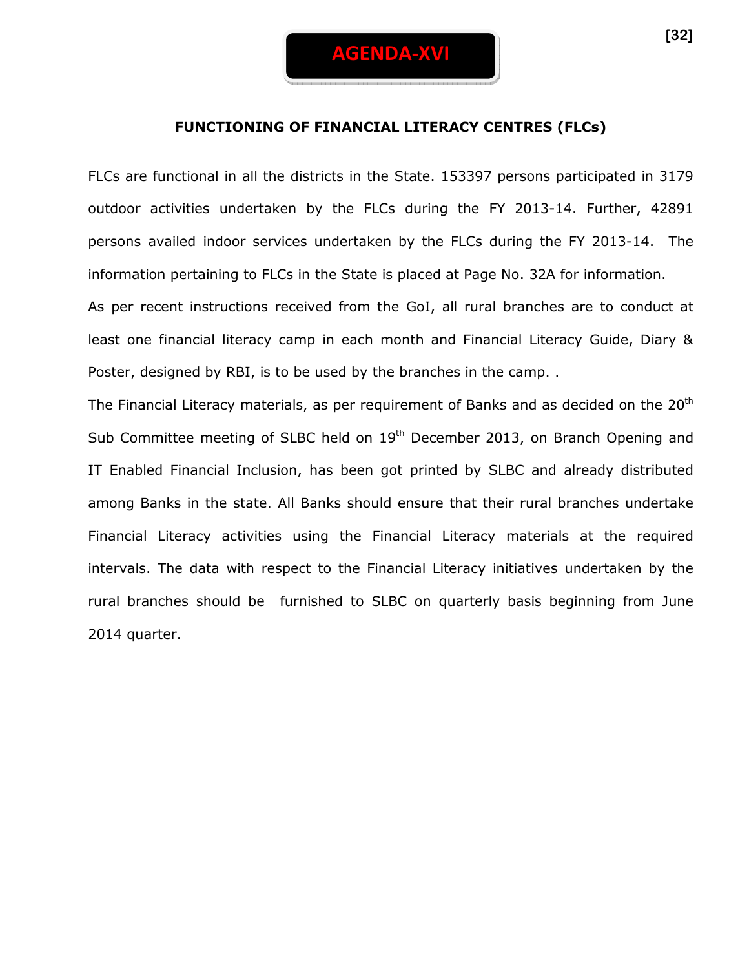#### FUNCTIONING OF FINANCIAL LITERACY CENTRES (FLCs)

FLCs are functional in all the districts in the State. 153397 persons participated in 3179 outdoor activities undertaken by the FLCs during the FY 2013-14. Further, 42891 persons availed indoor services undertaken by the FLCs during the FY 2013-14. The information pertaining to FLCs in the State is placed at Page No. 32A for information. As per recent instructions received from the GoI, all rural branches are to conduct at least one financial literacy camp in each month and Financial Literacy Guide, Diary &

Poster, designed by RBI, is to be used by the branches in the camp. .

The Financial Literacy materials, as per requirement of Banks and as decided on the  $20<sup>th</sup>$ Sub Committee meeting of SLBC held on 19<sup>th</sup> December 2013, on Branch Opening and IT Enabled Financial Inclusion, has been got printed by SLBC and already distributed among Banks in the state. All Banks should ensure that their rural branches undertake Financial Literacy activities using the Financial Literacy materials at the required intervals. The data with respect to the Financial Literacy initiatives undertaken by the rural branches should be furnished to SLBC on quarterly basis beginning from June 2014 quarter.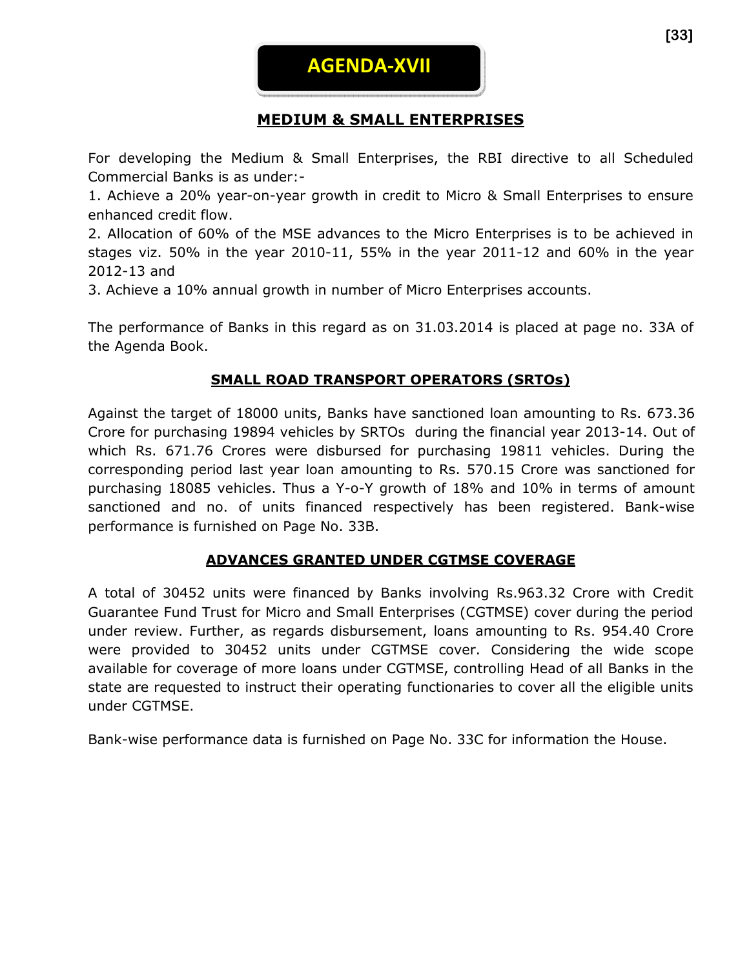

# MEDIUM & SMALL ENTERPRISES

For developing the Medium & Small Enterprises, the RBI directive to all Scheduled Commercial Banks is as under:-

1. Achieve a 20% year-on-year growth in credit to Micro & Small Enterprises to ensure enhanced credit flow.

2. Allocation of 60% of the MSE advances to the Micro Enterprises is to be achieved in stages viz. 50% in the year 2010-11, 55% in the year 2011-12 and 60% in the year 2012-13 and

3. Achieve a 10% annual growth in number of Micro Enterprises accounts.

The performance of Banks in this regard as on 31.03.2014 is placed at page no. 33A of the Agenda Book.

#### SMALL ROAD TRANSPORT OPERATORS (SRTOs)

Against the target of 18000 units, Banks have sanctioned loan amounting to Rs. 673.36 Crore for purchasing 19894 vehicles by SRTOs during the financial year 2013-14. Out of which Rs. 671.76 Crores were disbursed for purchasing 19811 vehicles. During the corresponding period last year loan amounting to Rs. 570.15 Crore was sanctioned for purchasing 18085 vehicles. Thus a Y-o-Y growth of 18% and 10% in terms of amount sanctioned and no. of units financed respectively has been registered. Bank-wise performance is furnished on Page No. 33B.

#### ADVANCES GRANTED UNDER CGTMSE COVERAGE

A total of 30452 units were financed by Banks involving Rs.963.32 Crore with Credit Guarantee Fund Trust for Micro and Small Enterprises (CGTMSE) cover during the period under review. Further, as regards disbursement, loans amounting to Rs. 954.40 Crore were provided to 30452 units under CGTMSE cover. Considering the wide scope available for coverage of more loans under CGTMSE, controlling Head of all Banks in the state are requested to instruct their operating functionaries to cover all the eligible units under CGTMSE.

Bank-wise performance data is furnished on Page No. 33C for information the House.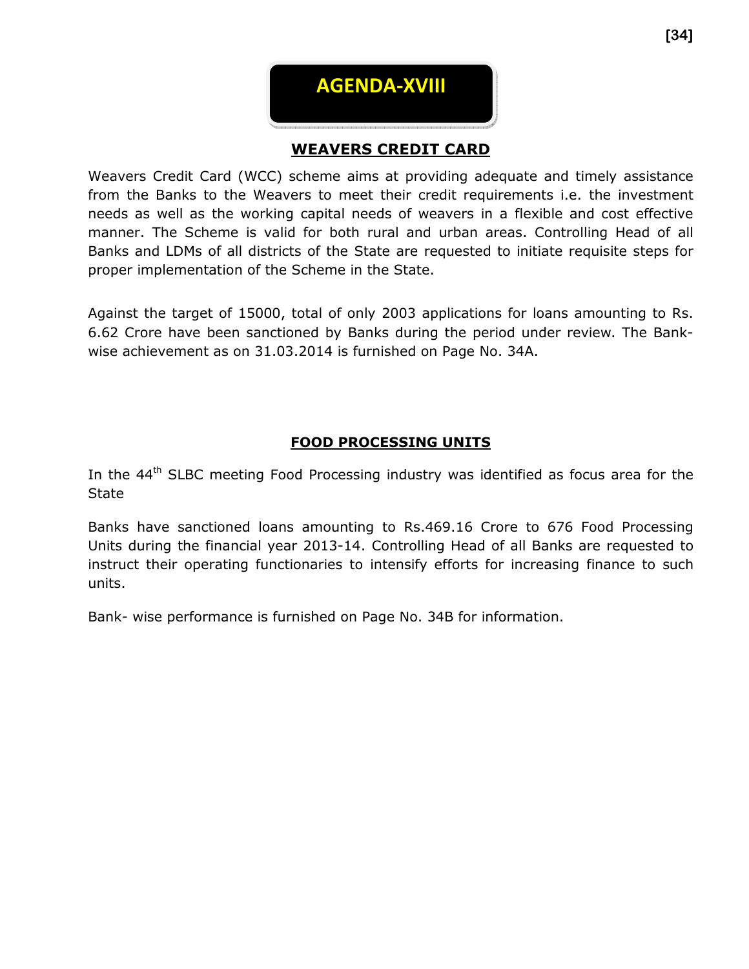

# WEAVERS CREDIT CARD

Weavers Credit Card (WCC) scheme aims at providing adequate and timely assistance from the Banks to the Weavers to meet their credit requirements i.e. the investment needs as well as the working capital needs of weavers in a flexible and cost effective manner. The Scheme is valid for both rural and urban areas. Controlling Head of all Banks and LDMs of all districts of the State are requested to initiate requisite steps for proper implementation of the Scheme in the State.

Against the target of 15000, total of only 2003 applications for loans amounting to Rs. 6.62 Crore have been sanctioned by Banks during the period under review. The Bankwise achievement as on 31.03.2014 is furnished on Page No. 34A.

#### FOOD PROCESSING UNITS

In the 44<sup>th</sup> SLBC meeting Food Processing industry was identified as focus area for the **State** 

Banks have sanctioned loans amounting to Rs.469.16 Crore to 676 Food Processing Units during the financial year 2013-14. Controlling Head of all Banks are requested to instruct their operating functionaries to intensify efforts for increasing finance to such units.

Bank- wise performance is furnished on Page No. 34B for information.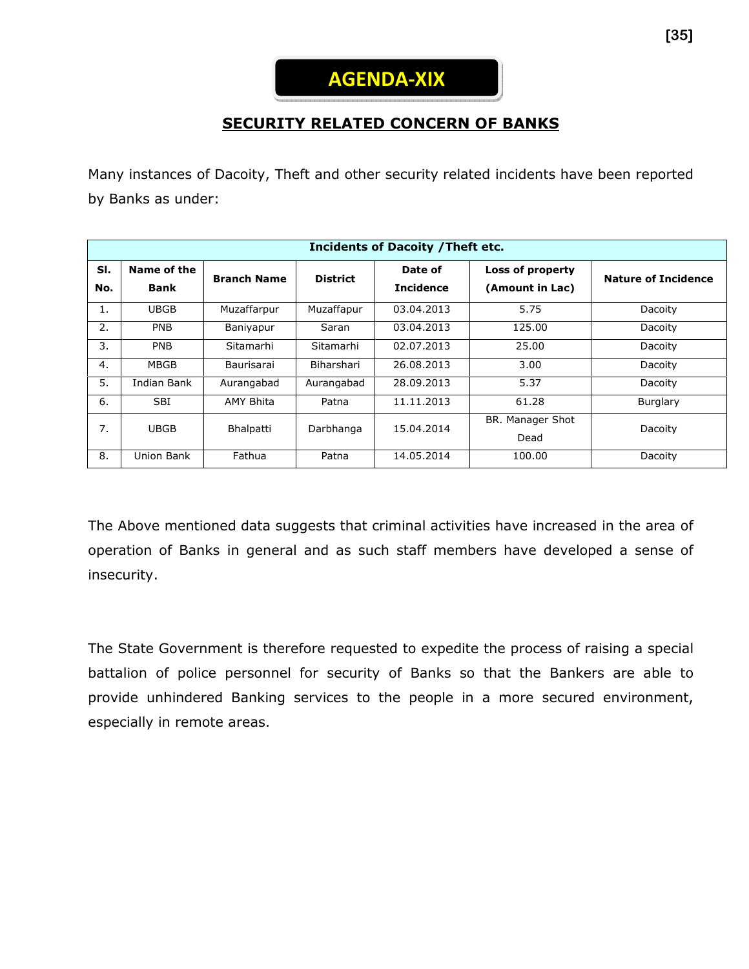# **SECURITY RELATED CONCERN OF BANKS**

Many instances of Dacoity, Theft and other security related incidents have been reported by Banks as under:

| <b>Incidents of Dacoity / Theft etc.</b> |                            |                    |                 |                             |                                     |                            |  |  |
|------------------------------------------|----------------------------|--------------------|-----------------|-----------------------------|-------------------------------------|----------------------------|--|--|
| SI.<br>No.                               | Name of the<br><b>Bank</b> | <b>Branch Name</b> | <b>District</b> | Date of<br><b>Incidence</b> | Loss of property<br>(Amount in Lac) | <b>Nature of Incidence</b> |  |  |
| 1.                                       | <b>UBGB</b>                | Muzaffarpur        | Muzaffapur      | 03.04.2013                  | 5.75                                | Dacoity                    |  |  |
| 2.                                       | <b>PNB</b>                 | Baniyapur          | Saran           | 03.04.2013                  | 125.00                              | Dacoity                    |  |  |
| 3.                                       | <b>PNB</b>                 | Sitamarhi          | Sitamarhi       | 02.07.2013                  | 25.00                               | Dacoity                    |  |  |
| 4.                                       | <b>MBGB</b>                | Baurisarai         | Biharshari      | 26.08.2013                  | 3.00                                | Dacoity                    |  |  |
| 5.                                       | Indian Bank                | Aurangabad         | Aurangabad      | 28.09.2013                  | 5.37                                | Dacoity                    |  |  |
| 6.                                       | <b>SBI</b>                 | <b>AMY Bhita</b>   | Patna           | 11.11.2013                  | 61.28                               | Burglary                   |  |  |
| 7.                                       | <b>UBGB</b>                | Bhalpatti          | Darbhanga       | 15.04.2014                  | BR. Manager Shot<br>Dead            | Dacoity                    |  |  |
| 8.                                       | Union Bank                 | Fathua             | Patna           | 14.05.2014                  | 100.00                              | Dacoity                    |  |  |

The Above mentioned data suggests that criminal activities have increased in the area of operation of Banks in general and as such staff members have developed a sense of insecurity.

The State Government is therefore requested to expedite the process of raising a special battalion of police personnel for security of Banks so that the Bankers are able to provide unhindered Banking services to the people in a more secured environment, especially in remote areas.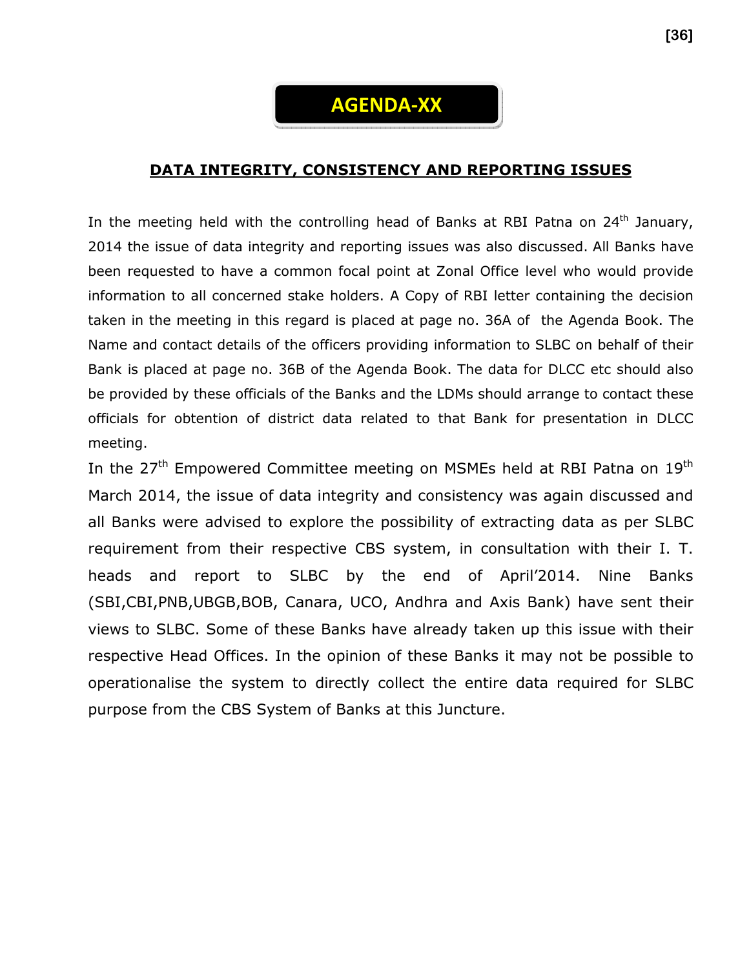

#### DATA INTEGRITY, CONSISTENCY AND REPORTING ISSUES

In the meeting held with the controlling head of Banks at RBI Patna on  $24<sup>th</sup>$  January, 2014 the issue of data integrity and reporting issues was also discussed. All Banks have been requested to have a common focal point at Zonal Office level who would provide information to all concerned stake holders. A Copy of RBI letter containing the decision taken in the meeting in this regard is placed at page no. 36A of the Agenda Book. The Name and contact details of the officers providing information to SLBC on behalf of their Bank is placed at page no. 36B of the Agenda Book. The data for DLCC etc should also be provided by these officials of the Banks and the LDMs should arrange to contact these officials for obtention of district data related to that Bank for presentation in DLCC meeting.

In the 27<sup>th</sup> Empowered Committee meeting on MSMEs held at RBI Patna on 19<sup>th</sup> March 2014, the issue of data integrity and consistency was again discussed and all Banks were advised to explore the possibility of extracting data as per SLBC requirement from their respective CBS system, in consultation with their I. T. heads and report to SLBC by the end of April'2014. Nine Banks (SBI,CBI,PNB,UBGB,BOB, Canara, UCO, Andhra and Axis Bank) have sent their views to SLBC. Some of these Banks have already taken up this issue with their respective Head Offices. In the opinion of these Banks it may not be possible to operationalise the system to directly collect the entire data required for SLBC purpose from the CBS System of Banks at this Juncture.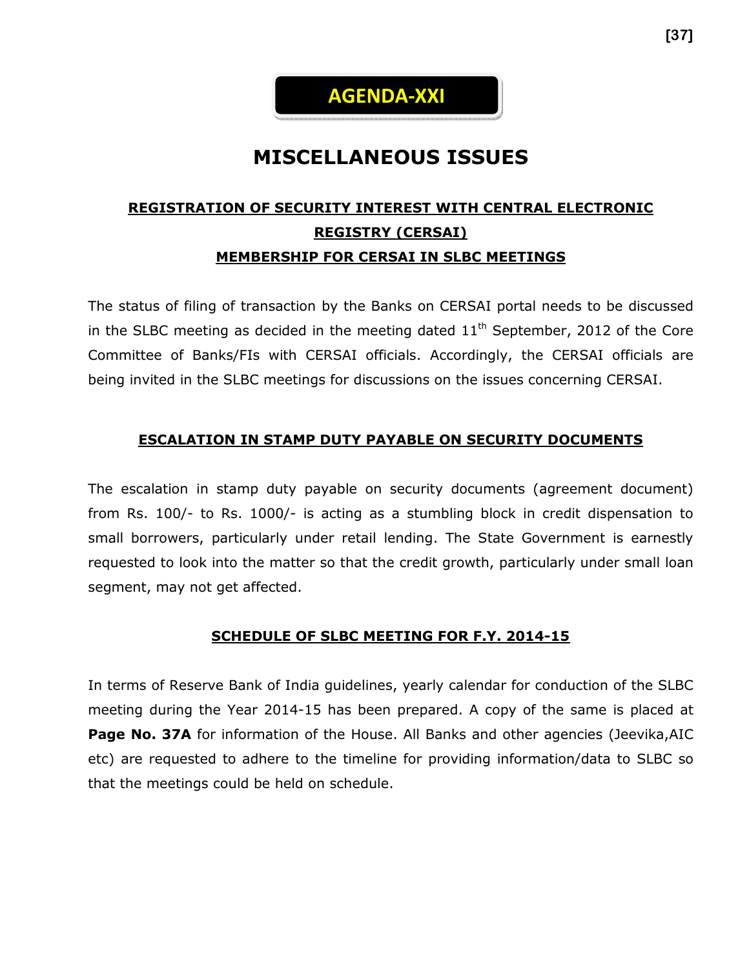

# MISCELLANEOUS ISSUES

# REGISTRATION OF SECURITY INTEREST WITH CENTRAL ELECTRONIC REGISTRY (CERSAI) MEMBERSHIP FOR CERSAI IN SLBC MEETINGS

The status of filing of transaction by the Banks on CERSAI portal needs to be discussed in the SLBC meeting as decided in the meeting dated  $11<sup>th</sup>$  September, 2012 of the Core Committee of Banks/FIs with CERSAI officials. Accordingly, the CERSAI officials are being invited in the SLBC meetings for discussions on the issues concerning CERSAI.

#### ESCALATION IN STAMP DUTY PAYABLE ON SECURITY DOCUMENTS

The escalation in stamp duty payable on security documents (agreement document) from Rs. 100/- to Rs. 1000/- is acting as a stumbling block in credit dispensation to small borrowers, particularly under retail lending. The State Government is earnestly requested to look into the matter so that the credit growth, particularly under small loan segment, may not get affected.

#### SCHEDULE OF SLBC MEETING FOR F.Y. 2014-15

In terms of Reserve Bank of India guidelines, yearly calendar for conduction of the SLBC meeting during the Year 2014-15 has been prepared. A copy of the same is placed at Page No. 37A for information of the House. All Banks and other agencies (Jeevika, AIC etc) are requested to adhere to the timeline for providing information/data to SLBC so that the meetings could be held on schedule.